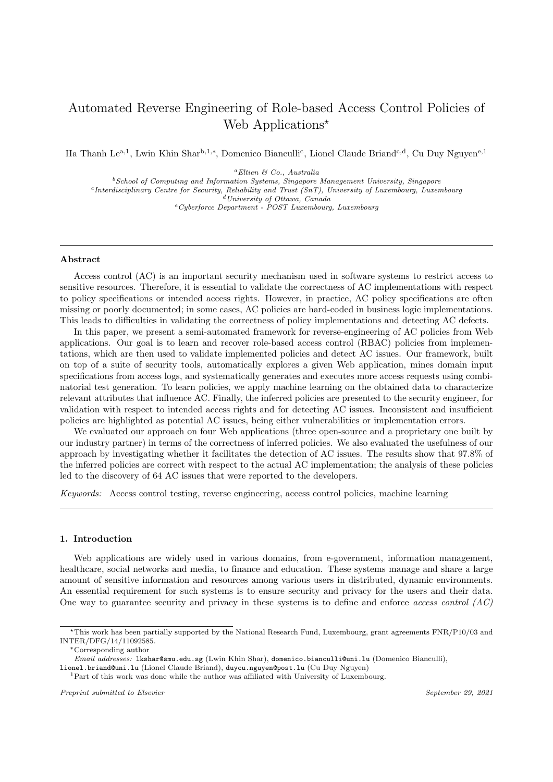# Automated Reverse Engineering of Role-based Access Control Policies of Web Applications<sup>\*</sup>

Ha Thanh Le<sup>a,1</sup>, Lwin Khin Shar<sup>b,1,∗</sup>, Domenico Bianculli<sup>c</sup>, Lionel Claude Briand<sup>c,d</sup>, Cu Duy Nguyen<sup>e,1</sup>

<sup>a</sup>Eltien & Co., Australia

 $^{b}$  School of Computing and Information Systems, Singapore Management University, Singapore <sup>c</sup>Interdisciplinary Centre for Security, Reliability and Trust (SnT), University of Luxembourg, Luxembourg <sup>d</sup>University of Ottawa, Canada <sup>e</sup>Cyberforce Department - POST Luxembourg, Luxembourg

# Abstract

Access control (AC) is an important security mechanism used in software systems to restrict access to sensitive resources. Therefore, it is essential to validate the correctness of AC implementations with respect to policy specifications or intended access rights. However, in practice, AC policy specifications are often missing or poorly documented; in some cases, AC policies are hard-coded in business logic implementations. This leads to difficulties in validating the correctness of policy implementations and detecting AC defects.

In this paper, we present a semi-automated framework for reverse-engineering of AC policies from Web applications. Our goal is to learn and recover role-based access control (RBAC) policies from implementations, which are then used to validate implemented policies and detect AC issues. Our framework, built on top of a suite of security tools, automatically explores a given Web application, mines domain input specifications from access logs, and systematically generates and executes more access requests using combinatorial test generation. To learn policies, we apply machine learning on the obtained data to characterize relevant attributes that influence AC. Finally, the inferred policies are presented to the security engineer, for validation with respect to intended access rights and for detecting AC issues. Inconsistent and insufficient policies are highlighted as potential AC issues, being either vulnerabilities or implementation errors.

We evaluated our approach on four Web applications (three open-source and a proprietary one built by our industry partner) in terms of the correctness of inferred policies. We also evaluated the usefulness of our approach by investigating whether it facilitates the detection of AC issues. The results show that 97.8% of the inferred policies are correct with respect to the actual AC implementation; the analysis of these policies led to the discovery of 64 AC issues that were reported to the developers.

Keywords: Access control testing, reverse engineering, access control policies, machine learning

#### 1. Introduction

Web applications are widely used in various domains, from e-government, information management, healthcare, social networks and media, to finance and education. These systems manage and share a large amount of sensitive information and resources among various users in distributed, dynamic environments. An essential requirement for such systems is to ensure security and privacy for the users and their data. One way to guarantee security and privacy in these systems is to define and enforce access control  $(AC)$ 

<sup>∗</sup>Corresponding author

<sup>⋆</sup>This work has been partially supported by the National Research Fund, Luxembourg, grant agreements FNR/P10/03 and INTER/DFG/14/11092585.

Email addresses: lkshar@smu.edu.sg (Lwin Khin Shar), domenico.bianculli@uni.lu (Domenico Bianculli),

lionel.briand@uni.lu (Lionel Claude Briand), duycu.nguyen@post.lu (Cu Duy Nguyen)

<sup>1</sup>Part of this work was done while the author was affiliated with University of Luxembourg.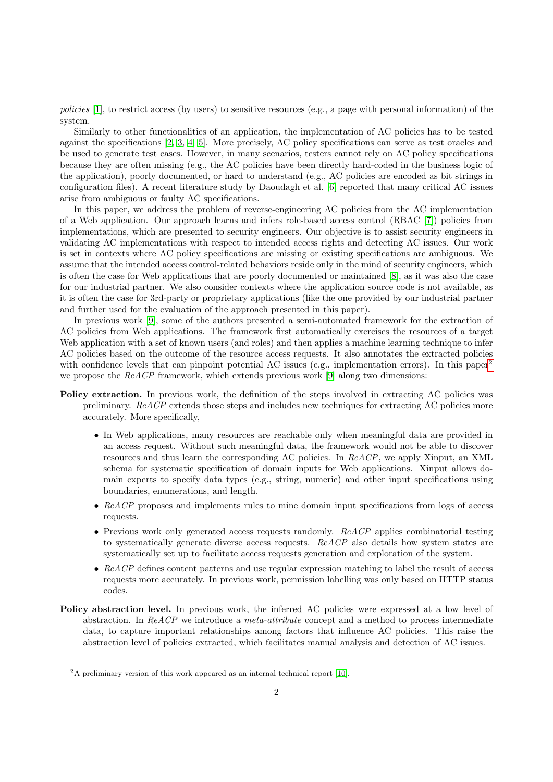policies [\[1\]](#page-26-0), to restrict access (by users) to sensitive resources (e.g., a page with personal information) of the system.

Similarly to other functionalities of an application, the implementation of AC policies has to be tested against the specifications [\[2,](#page-26-1) [3,](#page-26-2) [4,](#page-26-3) [5\]](#page-26-4). More precisely, AC policy specifications can serve as test oracles and be used to generate test cases. However, in many scenarios, testers cannot rely on AC policy specifications because they are often missing (e.g., the AC policies have been directly hard-coded in the business logic of the application), poorly documented, or hard to understand (e.g., AC policies are encoded as bit strings in configuration files). A recent literature study by Daoudagh et al. [\[6\]](#page-26-5) reported that many critical AC issues arise from ambiguous or faulty AC specifications.

In this paper, we address the problem of reverse-engineering AC policies from the AC implementation of a Web application. Our approach learns and infers role-based access control (RBAC [\[7\]](#page-26-6)) policies from implementations, which are presented to security engineers. Our objective is to assist security engineers in validating AC implementations with respect to intended access rights and detecting AC issues. Our work is set in contexts where AC policy specifications are missing or existing specifications are ambiguous. We assume that the intended access control-related behaviors reside only in the mind of security engineers, which is often the case for Web applications that are poorly documented or maintained [\[8\]](#page-26-7), as it was also the case for our industrial partner. We also consider contexts where the application source code is not available, as it is often the case for 3rd-party or proprietary applications (like the one provided by our industrial partner and further used for the evaluation of the approach presented in this paper).

In previous work [\[9\]](#page-26-8), some of the authors presented a semi-automated framework for the extraction of AC policies from Web applications. The framework first automatically exercises the resources of a target Web application with a set of known users (and roles) and then applies a machine learning technique to infer AC policies based on the outcome of the resource access requests. It also annotates the extracted policies with confidence levels that can pinpoint potential AC issues (e.g., implementation errors). In this paper<sup>[2](#page-1-0)</sup> we propose the  $ReACP$  framework, which extends previous work [\[9\]](#page-26-8) along two dimensions:

- Policy extraction. In previous work, the definition of the steps involved in extracting AC policies was preliminary. ReACP extends those steps and includes new techniques for extracting AC policies more accurately. More specifically,
	- In Web applications, many resources are reachable only when meaningful data are provided in an access request. Without such meaningful data, the framework would not be able to discover resources and thus learn the corresponding AC policies. In  $ReACP$ , we apply Xinput, an XML schema for systematic specification of domain inputs for Web applications. Xinput allows domain experts to specify data types (e.g., string, numeric) and other input specifications using boundaries, enumerations, and length.
	- ReACP proposes and implements rules to mine domain input specifications from logs of access requests.
	- Previous work only generated access requests randomly.  $ReACP$  applies combinatorial testing to systematically generate diverse access requests. ReACP also details how system states are systematically set up to facilitate access requests generation and exploration of the system.
	- ReACP defines content patterns and use regular expression matching to label the result of access requests more accurately. In previous work, permission labelling was only based on HTTP status codes.
- Policy abstraction level. In previous work, the inferred AC policies were expressed at a low level of abstraction. In  $ReACP$  we introduce a *meta-attribute* concept and a method to process intermediate data, to capture important relationships among factors that influence AC policies. This raise the abstraction level of policies extracted, which facilitates manual analysis and detection of AC issues.

<span id="page-1-0"></span><sup>2</sup>A preliminary version of this work appeared as an internal technical report [\[10\]](#page-26-9).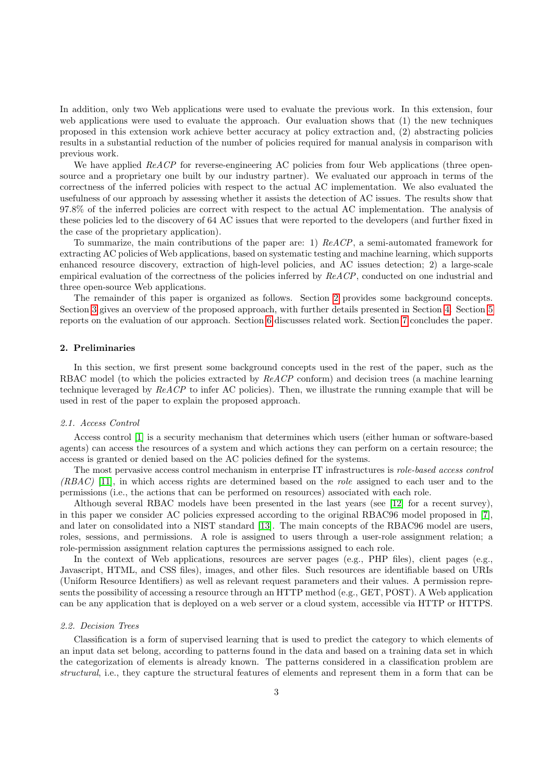In addition, only two Web applications were used to evaluate the previous work. In this extension, four web applications were used to evaluate the approach. Our evaluation shows that (1) the new techniques proposed in this extension work achieve better accuracy at policy extraction and, (2) abstracting policies results in a substantial reduction of the number of policies required for manual analysis in comparison with previous work.

We have applied ReACP for reverse-engineering AC policies from four Web applications (three opensource and a proprietary one built by our industry partner). We evaluated our approach in terms of the correctness of the inferred policies with respect to the actual AC implementation. We also evaluated the usefulness of our approach by assessing whether it assists the detection of AC issues. The results show that 97.8% of the inferred policies are correct with respect to the actual AC implementation. The analysis of these policies led to the discovery of 64 AC issues that were reported to the developers (and further fixed in the case of the proprietary application).

To summarize, the main contributions of the paper are: 1) ReACP, a semi-automated framework for extracting AC policies of Web applications, based on systematic testing and machine learning, which supports enhanced resource discovery, extraction of high-level policies, and AC issues detection; 2) a large-scale empirical evaluation of the correctness of the policies inferred by  $ReACP$ , conducted on one industrial and three open-source Web applications.

The remainder of this paper is organized as follows. Section [2](#page-2-0) provides some background concepts. Section [3](#page-4-0) gives an overview of the proposed approach, with further details presented in Section [4.](#page-5-0) Section [5](#page-14-0) reports on the evaluation of our approach. Section [6](#page-23-0) discusses related work. Section [7](#page-25-0) concludes the paper.

# <span id="page-2-0"></span>2. Preliminaries

In this section, we first present some background concepts used in the rest of the paper, such as the RBAC model (to which the policies extracted by ReACP conform) and decision trees (a machine learning technique leveraged by ReACP to infer AC policies). Then, we illustrate the running example that will be used in rest of the paper to explain the proposed approach.

## 2.1. Access Control

Access control [\[1\]](#page-26-0) is a security mechanism that determines which users (either human or software-based agents) can access the resources of a system and which actions they can perform on a certain resource; the access is granted or denied based on the AC policies defined for the systems.

The most pervasive access control mechanism in enterprise IT infrastructures is role-based access control  $(RBAC)$  [\[11\]](#page-26-10), in which access rights are determined based on the *role* assigned to each user and to the permissions (i.e., the actions that can be performed on resources) associated with each role.

Although several RBAC models have been presented in the last years (see [\[12\]](#page-26-11) for a recent survey), in this paper we consider AC policies expressed according to the original RBAC96 model proposed in [\[7\]](#page-26-6), and later on consolidated into a NIST standard [\[13\]](#page-26-12). The main concepts of the RBAC96 model are users, roles, sessions, and permissions. A role is assigned to users through a user-role assignment relation; a role-permission assignment relation captures the permissions assigned to each role.

In the context of Web applications, resources are server pages (e.g., PHP files), client pages (e.g., Javascript, HTML, and CSS files), images, and other files. Such resources are identifiable based on URIs (Uniform Resource Identifiers) as well as relevant request parameters and their values. A permission represents the possibility of accessing a resource through an HTTP method (e.g., GET, POST). A Web application can be any application that is deployed on a web server or a cloud system, accessible via HTTP or HTTPS.

## <span id="page-2-1"></span>2.2. Decision Trees

Classification is a form of supervised learning that is used to predict the category to which elements of an input data set belong, according to patterns found in the data and based on a training data set in which the categorization of elements is already known. The patterns considered in a classification problem are structural, i.e., they capture the structural features of elements and represent them in a form that can be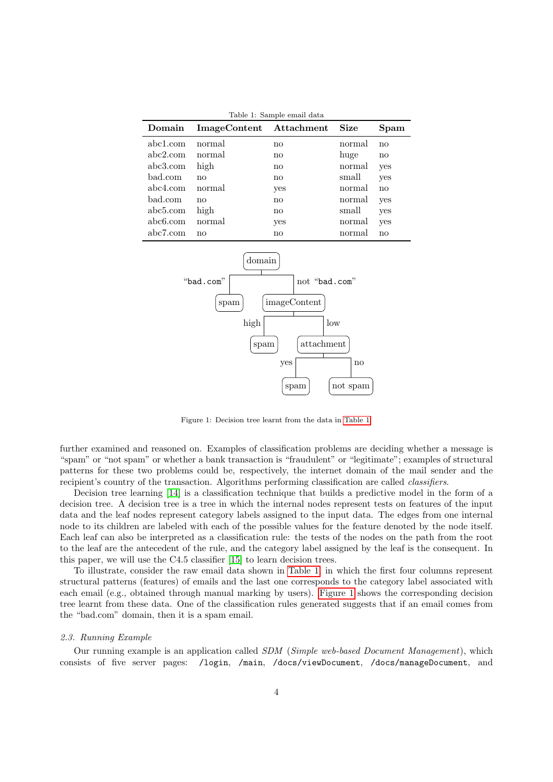<span id="page-3-0"></span>

| Table 1: Sample email data |                         |               |        |               |  |  |  |  |  |
|----------------------------|-------------------------|---------------|--------|---------------|--|--|--|--|--|
| Domain                     | ImageContent Attachment |               | Size   | Spam          |  |  |  |  |  |
| abc1.com                   | normal                  | no            | normal | no            |  |  |  |  |  |
| abc2.com                   | normal                  | no            | huge   | $\mathbf{no}$ |  |  |  |  |  |
| abc3.com                   | high                    | no            | normal | yes           |  |  |  |  |  |
| bad.com                    | no                      | $\mathbf{no}$ | small  | yes           |  |  |  |  |  |
| abc4.com                   | normal                  | yes           | normal | no            |  |  |  |  |  |
| bad.com                    | no                      | no            | normal | yes           |  |  |  |  |  |
| abc5.com                   | high                    | nο            | small  | yes           |  |  |  |  |  |
| abc6.com                   | normal                  | yes           | normal | yes           |  |  |  |  |  |
| abc7.com                   | no                      | no            | normal | no            |  |  |  |  |  |



<span id="page-3-1"></span>Figure 1: Decision tree learnt from the data in [Table 1.](#page-3-0)

further examined and reasoned on. Examples of classification problems are deciding whether a message is "spam" or "not spam" or whether a bank transaction is "fraudulent" or "legitimate"; examples of structural patterns for these two problems could be, respectively, the internet domain of the mail sender and the recipient's country of the transaction. Algorithms performing classification are called classifiers.

Decision tree learning [\[14\]](#page-26-13) is a classification technique that builds a predictive model in the form of a decision tree. A decision tree is a tree in which the internal nodes represent tests on features of the input data and the leaf nodes represent category labels assigned to the input data. The edges from one internal node to its children are labeled with each of the possible values for the feature denoted by the node itself. Each leaf can also be interpreted as a classification rule: the tests of the nodes on the path from the root to the leaf are the antecedent of the rule, and the category label assigned by the leaf is the consequent. In this paper, we will use the C4.5 classifier [\[15\]](#page-26-14) to learn decision trees.

To illustrate, consider the raw email data shown in [Table 1,](#page-3-0) in which the first four columns represent structural patterns (features) of emails and the last one corresponds to the category label associated with each email (e.g., obtained through manual marking by users). [Figure 1](#page-3-1) shows the corresponding decision tree learnt from these data. One of the classification rules generated suggests that if an email comes from the "bad.com" domain, then it is a spam email.

#### <span id="page-3-2"></span>2.3. Running Example

Our running example is an application called SDM (Simple web-based Document Management), which consists of five server pages: /login, /main, /docs/viewDocument, /docs/manageDocument, and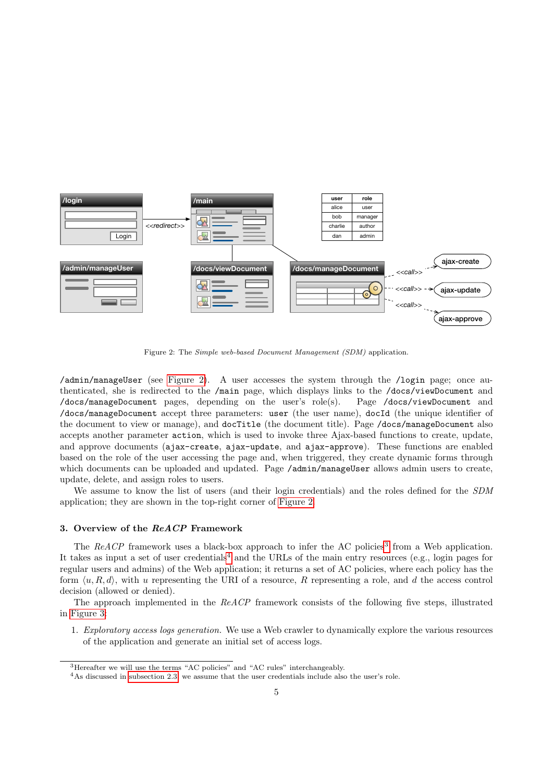

<span id="page-4-1"></span>Figure 2: The Simple web-based Document Management (SDM) application.

/admin/manageUser (see [Figure 2\)](#page-4-1). A user accesses the system through the /login page; once authenticated, she is redirected to the /main page, which displays links to the /docs/viewDocument and /docs/manageDocument pages, depending on the user's role(s). Page /docs/viewDocument and /docs/manageDocument accept three parameters: user (the user name), docId (the unique identifier of the document to view or manage), and docTitle (the document title). Page /docs/manageDocument also accepts another parameter action, which is used to invoke three Ajax-based functions to create, update, and approve documents (ajax-create, ajax-update, and ajax-approve). These functions are enabled based on the role of the user accessing the page and, when triggered, they create dynamic forms through which documents can be uploaded and updated. Page /admin/manageUser allows admin users to create, update, delete, and assign roles to users.

We assume to know the list of users (and their login credentials) and the roles defined for the SDM application; they are shown in the top-right corner of [Figure 2.](#page-4-1)

#### <span id="page-4-0"></span>3. Overview of the ReACP Framework

The ReACP framework uses a black-box approach to infer the AC policies<sup>[3](#page-4-2)</sup> from a Web application. It takes as input a set of user credentials<sup>[4](#page-4-3)</sup> and the URLs of the main entry resources (e.g., login pages for regular users and admins) of the Web application; it returns a set of AC policies, where each policy has the form  $\langle u, R, d \rangle$ , with u representing the URI of a resource, R representing a role, and d the access control decision (allowed or denied).

The approach implemented in the ReACP framework consists of the following five steps, illustrated in [Figure 3:](#page-5-1)

1. Exploratory access logs generation. We use a Web crawler to dynamically explore the various resources of the application and generate an initial set of access logs.

<span id="page-4-2"></span><sup>&</sup>lt;sup>3</sup>Hereafter we will use the terms "AC policies" and "AC rules" interchangeably.

<span id="page-4-3"></span><sup>&</sup>lt;sup>4</sup>As discussed in [subsection 2.3,](#page-3-2) we assume that the user credentials include also the user's role.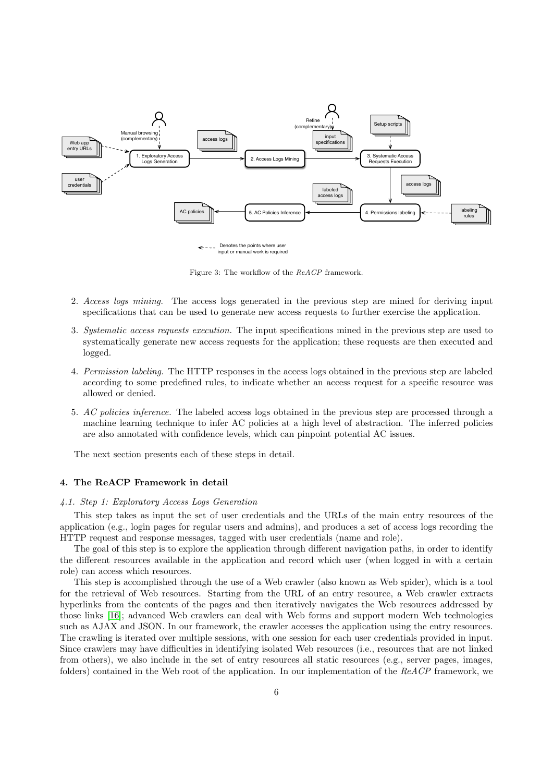

<span id="page-5-1"></span>Figure 3: The workflow of the ReACP framework.

- 2. Access logs mining. The access logs generated in the previous step are mined for deriving input specifications that can be used to generate new access requests to further exercise the application.
- 3. Systematic access requests execution. The input specifications mined in the previous step are used to systematically generate new access requests for the application; these requests are then executed and logged.
- 4. Permission labeling. The HTTP responses in the access logs obtained in the previous step are labeled according to some predefined rules, to indicate whether an access request for a specific resource was allowed or denied.
- 5. AC policies inference. The labeled access logs obtained in the previous step are processed through a machine learning technique to infer AC policies at a high level of abstraction. The inferred policies are also annotated with confidence levels, which can pinpoint potential AC issues.

The next section presents each of these steps in detail.

# <span id="page-5-0"></span>4. The ReACP Framework in detail

### <span id="page-5-2"></span>4.1. Step 1: Exploratory Access Logs Generation

This step takes as input the set of user credentials and the URLs of the main entry resources of the application (e.g., login pages for regular users and admins), and produces a set of access logs recording the HTTP request and response messages, tagged with user credentials (name and role).

The goal of this step is to explore the application through different navigation paths, in order to identify the different resources available in the application and record which user (when logged in with a certain role) can access which resources.

This step is accomplished through the use of a Web crawler (also known as Web spider), which is a tool for the retrieval of Web resources. Starting from the URL of an entry resource, a Web crawler extracts hyperlinks from the contents of the pages and then iteratively navigates the Web resources addressed by those links [\[16\]](#page-26-15); advanced Web crawlers can deal with Web forms and support modern Web technologies such as AJAX and JSON. In our framework, the crawler accesses the application using the entry resources. The crawling is iterated over multiple sessions, with one session for each user credentials provided in input. Since crawlers may have difficulties in identifying isolated Web resources (i.e., resources that are not linked from others), we also include in the set of entry resources all static resources (e.g., server pages, images, folders) contained in the Web root of the application. In our implementation of the ReACP framework, we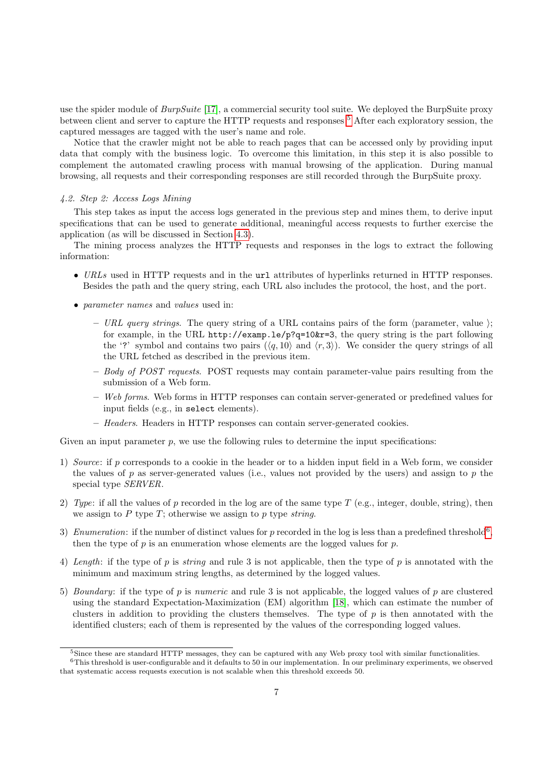use the spider module of  $BurpSuite$  [\[17\]](#page-26-16), a commercial security tool suite. We deployed the BurpSuite proxy between client and server to capture the HTTP requests and responses <sup>[5](#page-6-0)</sup> After each exploratory session, the captured messages are tagged with the user's name and role.

Notice that the crawler might not be able to reach pages that can be accessed only by providing input data that comply with the business logic. To overcome this limitation, in this step it is also possible to complement the automated crawling process with manual browsing of the application. During manual browsing, all requests and their corresponding responses are still recorded through the BurpSuite proxy.

# <span id="page-6-2"></span>4.2. Step 2: Access Logs Mining

This step takes as input the access logs generated in the previous step and mines them, to derive input specifications that can be used to generate additional, meaningful access requests to further exercise the application (as will be discussed in Section [4.3\)](#page-7-0).

The mining process analyzes the HTTP requests and responses in the logs to extract the following information:

- URLs used in HTTP requests and in the url attributes of hyperlinks returned in HTTP responses. Besides the path and the query string, each URL also includes the protocol, the host, and the port.
- *parameter names* and *values* used in:
	- URL query strings. The query string of a URL contains pairs of the form  $\langle$  parameter, value  $\rangle$ ; for example, in the URL http://examp.le/p?q=10&r=3, the query string is the part following the '?' symbol and contains two pairs  $(\langle q, 10 \rangle)$  and  $\langle r, 3 \rangle$ ). We consider the query strings of all the URL fetched as described in the previous item.
	- $-$  Body of POST requests. POST requests may contain parameter-value pairs resulting from the submission of a Web form.
	- Web forms. Web forms in HTTP responses can contain server-generated or predefined values for input fields (e.g., in select elements).
	- Headers. Headers in HTTP responses can contain server-generated cookies.

Given an input parameter  $p$ , we use the following rules to determine the input specifications:

- 1) Source: if p corresponds to a cookie in the header or to a hidden input field in a Web form, we consider the values of p as server-generated values (i.e., values not provided by the users) and assign to p the special type SERVER.
- 2) Type: if all the values of p recorded in the log are of the same type T (e.g., integer, double, string), then we assign to  $P$  type  $T$ ; otherwise we assign to  $p$  type string.
- 3) Enumeration: if the number of distinct values for p recorded in the log is less than a predefined threshold<sup>[6](#page-6-1)</sup>, then the type of  $p$  is an enumeration whose elements are the logged values for  $p$ .
- 4) Length: if the type of p is string and rule 3 is not applicable, then the type of p is annotated with the minimum and maximum string lengths, as determined by the logged values.
- 5) Boundary: if the type of p is numeric and rule 3 is not applicable, the logged values of p are clustered using the standard Expectation-Maximization (EM) algorithm [\[18\]](#page-26-17), which can estimate the number of clusters in addition to providing the clusters themselves. The type of  $p$  is then annotated with the identified clusters; each of them is represented by the values of the corresponding logged values.

<span id="page-6-1"></span><span id="page-6-0"></span><sup>&</sup>lt;sup>5</sup>Since these are standard HTTP messages, they can be captured with any Web proxy tool with similar functionalities.  $6$ This threshold is user-configurable and it defaults to 50 in our implementation. In our preliminary experiments, we observed that systematic access requests execution is not scalable when this threshold exceeds 50.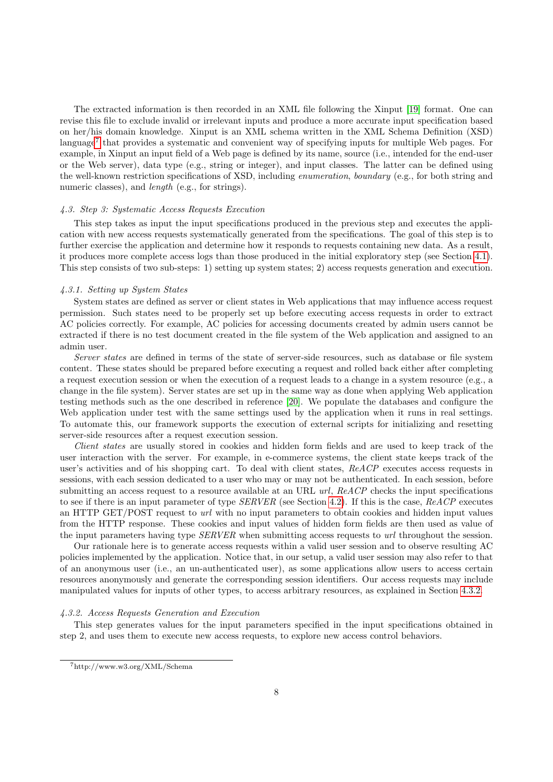The extracted information is then recorded in an XML file following the Xinput [\[19\]](#page-26-18) format. One can revise this file to exclude invalid or irrelevant inputs and produce a more accurate input specification based on her/his domain knowledge. Xinput is an XML schema written in the XML Schema Definition (XSD) language<sup>[7](#page-7-1)</sup> that provides a systematic and convenient way of specifying inputs for multiple Web pages. For example, in Xinput an input field of a Web page is defined by its name, source (i.e., intended for the end-user or the Web server), data type (e.g., string or integer), and input classes. The latter can be defined using the well-known restriction specifications of XSD, including enumeration, boundary (e.g., for both string and numeric classes), and *length* (e.g., for strings).

#### <span id="page-7-0"></span>4.3. Step 3: Systematic Access Requests Execution

This step takes as input the input specifications produced in the previous step and executes the application with new access requests systematically generated from the specifications. The goal of this step is to further exercise the application and determine how it responds to requests containing new data. As a result, it produces more complete access logs than those produced in the initial exploratory step (see Section [4.1\)](#page-5-2). This step consists of two sub-steps: 1) setting up system states; 2) access requests generation and execution.

#### <span id="page-7-3"></span>4.3.1. Setting up System States

System states are defined as server or client states in Web applications that may influence access request permission. Such states need to be properly set up before executing access requests in order to extract AC policies correctly. For example, AC policies for accessing documents created by admin users cannot be extracted if there is no test document created in the file system of the Web application and assigned to an admin user.

Server states are defined in terms of the state of server-side resources, such as database or file system content. These states should be prepared before executing a request and rolled back either after completing a request execution session or when the execution of a request leads to a change in a system resource (e.g., a change in the file system). Server states are set up in the same way as done when applying Web application testing methods such as the one described in reference [\[20\]](#page-26-19). We populate the databases and configure the Web application under test with the same settings used by the application when it runs in real settings. To automate this, our framework supports the execution of external scripts for initializing and resetting server-side resources after a request execution session.

Client states are usually stored in cookies and hidden form fields and are used to keep track of the user interaction with the server. For example, in e-commerce systems, the client state keeps track of the user's activities and of his shopping cart. To deal with client states, ReACP executes access requests in sessions, with each session dedicated to a user who may or may not be authenticated. In each session, before submitting an access request to a resource available at an URL url, ReACP checks the input specifications to see if there is an input parameter of type  $SERVER$  (see Section [4.2\)](#page-6-2). If this is the case,  $ReACP$  executes an HTTP GET/POST request to url with no input parameters to obtain cookies and hidden input values from the HTTP response. These cookies and input values of hidden form fields are then used as value of the input parameters having type SERVER when submitting access requests to url throughout the session.

Our rationale here is to generate access requests within a valid user session and to observe resulting AC policies implemented by the application. Notice that, in our setup, a valid user session may also refer to that of an anonymous user (i.e., an un-authenticated user), as some applications allow users to access certain resources anonymously and generate the corresponding session identifiers. Our access requests may include manipulated values for inputs of other types, to access arbitrary resources, as explained in Section [4.3.2.](#page-7-2)

#### <span id="page-7-2"></span>4.3.2. Access Requests Generation and Execution

This step generates values for the input parameters specified in the input specifications obtained in step 2, and uses them to execute new access requests, to explore new access control behaviors.

<span id="page-7-1"></span><sup>7</sup>http://www.w3.org/XML/Schema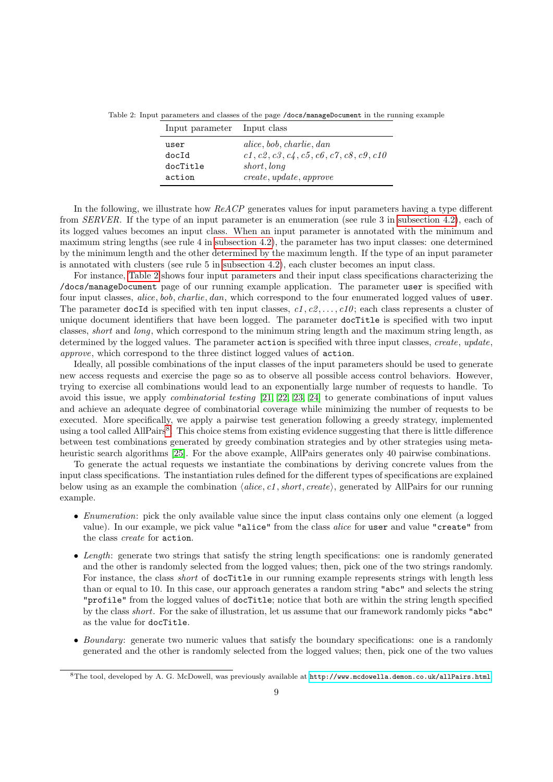Table 2: Input parameters and classes of the page /docs/manageDocument in the running example

<span id="page-8-0"></span>

| Input parameter Input class |                                           |
|-----------------------------|-------------------------------------------|
| user                        | alice, bob, charlie, dan                  |
| docId                       | $c1, c2, c3, c4, c5, c6, c7, c8, c9, c10$ |
| docTitle                    | short, long                               |
| action                      | create, update, approve                   |
|                             |                                           |

In the following, we illustrate how ReACP generates values for input parameters having a type different from SERVER. If the type of an input parameter is an enumeration (see rule 3 in [subsection 4.2\)](#page-6-2), each of its logged values becomes an input class. When an input parameter is annotated with the minimum and maximum string lengths (see rule 4 in [subsection 4.2\)](#page-6-2), the parameter has two input classes: one determined by the minimum length and the other determined by the maximum length. If the type of an input parameter is annotated with clusters (see rule 5 in [subsection 4.2\)](#page-6-2), each cluster becomes an input class.

For instance, [Table 2](#page-8-0) shows four input parameters and their input class specifications characterizing the /docs/manageDocument page of our running example application. The parameter user is specified with four input classes, *alice*, *bob*, *charlie*, *dan*, which correspond to the four enumerated logged values of user. The parameter docId is specified with ten input classes,  $c_1, c_2, \ldots, c_10$ ; each class represents a cluster of unique document identifiers that have been logged. The parameter docTitle is specified with two input classes, short and long, which correspond to the minimum string length and the maximum string length, as determined by the logged values. The parameter action is specified with three input classes, create, update, approve, which correspond to the three distinct logged values of action.

Ideally, all possible combinations of the input classes of the input parameters should be used to generate new access requests and exercise the page so as to observe all possible access control behaviors. However, trying to exercise all combinations would lead to an exponentially large number of requests to handle. To avoid this issue, we apply combinatorial testing [\[21,](#page-26-20) [22,](#page-26-21) [23,](#page-26-22) [24\]](#page-26-23) to generate combinations of input values and achieve an adequate degree of combinatorial coverage while minimizing the number of requests to be executed. More specifically, we apply a pairwise test generation following a greedy strategy, implemented using a tool called AllPairs<sup>[8](#page-8-1)</sup>. This choice stems from existing evidence suggesting that there is little difference between test combinations generated by greedy combination strategies and by other strategies using metaheuristic search algorithms [\[25\]](#page-26-24). For the above example, AllPairs generates only 40 pairwise combinations.

To generate the actual requests we instantiate the combinations by deriving concrete values from the input class specifications. The instantiation rules defined for the different types of specifications are explained below using as an example the combination  $\langle$ alice, c1, short, create $\rangle$ , generated by AllPairs for our running example.

- *Enumeration*: pick the only available value since the input class contains only one element (a logged value). In our example, we pick value "alice" from the class alice for user and value "create" from the class create for action.
- Length: generate two strings that satisfy the string length specifications: one is randomly generated and the other is randomly selected from the logged values; then, pick one of the two strings randomly. For instance, the class *short* of **docTitle** in our running example represents strings with length less than or equal to 10. In this case, our approach generates a random string "abc" and selects the string "profile" from the logged values of docTitle; notice that both are within the string length specified by the class short. For the sake of illustration, let us assume that our framework randomly picks "abc" as the value for docTitle.
- Boundary: generate two numeric values that satisfy the boundary specifications: one is a randomly generated and the other is randomly selected from the logged values; then, pick one of the two values

<span id="page-8-1"></span><sup>8</sup>The tool, developed by A. G. McDowell, was previously available at <http://www.mcdowella.demon.co.uk/allPairs.html>.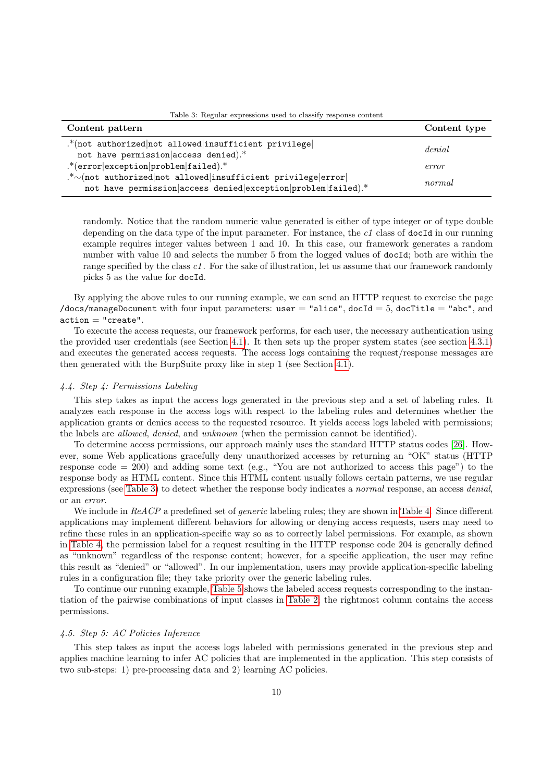| Content pattern                                                                                                               | Content type |
|-------------------------------------------------------------------------------------------------------------------------------|--------------|
| .*(not authorized not allowed insufficient privilege<br>not have permission access denied).*                                  | denial       |
| $.*$ (error exception problem failed).*                                                                                       | error        |
| .*~ (not authorized not allowed insufficient privilege error<br>not have permission access denied exception problem failed).* | normal       |

<span id="page-9-0"></span>Table 3: Regular expressions used to classify response content

randomly. Notice that the random numeric value generated is either of type integer or of type double depending on the data type of the input parameter. For instance, the  $c1$  class of docId in our running example requires integer values between 1 and 10. In this case, our framework generates a random number with value 10 and selects the number 5 from the logged values of docId; both are within the range specified by the class c1. For the sake of illustration, let us assume that our framework randomly picks 5 as the value for docId.

By applying the above rules to our running example, we can send an HTTP request to exercise the page /docs/manageDocument with four input parameters: user  $=$  "alice", docId  $=$  5, docTitle  $=$  "abc", and  $\text{action} = "create".$ 

To execute the access requests, our framework performs, for each user, the necessary authentication using the provided user credentials (see Section [4.1\)](#page-5-2). It then sets up the proper system states (see section [4.3.1\)](#page-7-3) and executes the generated access requests. The access logs containing the request/response messages are then generated with the BurpSuite proxy like in step 1 (see Section [4.1\)](#page-5-2).

# <span id="page-9-1"></span>4.4. Step 4: Permissions Labeling

This step takes as input the access logs generated in the previous step and a set of labeling rules. It analyzes each response in the access logs with respect to the labeling rules and determines whether the application grants or denies access to the requested resource. It yields access logs labeled with permissions; the labels are allowed, denied, and unknown (when the permission cannot be identified).

To determine access permissions, our approach mainly uses the standard HTTP status codes [\[26\]](#page-26-25). However, some Web applications gracefully deny unauthorized accesses by returning an "OK" status (HTTP response code  $= 200$ ) and adding some text (e.g., "You are not authorized to access this page") to the response body as HTML content. Since this HTML content usually follows certain patterns, we use regular expressions (see [Table 3\)](#page-9-0) to detect whether the response body indicates a normal response, an access denial, or an error.

We include in ReACP a predefined set of *generic* labeling rules; they are shown in [Table 4.](#page-10-0) Since different applications may implement different behaviors for allowing or denying access requests, users may need to refine these rules in an application-specific way so as to correctly label permissions. For example, as shown in [Table 4,](#page-10-0) the permission label for a request resulting in the HTTP response code 204 is generally defined as "unknown" regardless of the response content; however, for a specific application, the user may refine this result as "denied" or "allowed". In our implementation, users may provide application-specific labeling rules in a configuration file; they take priority over the generic labeling rules.

To continue our running example, [Table 5](#page-11-0) shows the labeled access requests corresponding to the instantiation of the pairwise combinations of input classes in [Table 2;](#page-8-0) the rightmost column contains the access permissions.

## 4.5. Step 5: AC Policies Inference

This step takes as input the access logs labeled with permissions generated in the previous step and applies machine learning to infer AC policies that are implemented in the application. This step consists of two sub-steps: 1) pre-processing data and 2) learning AC policies.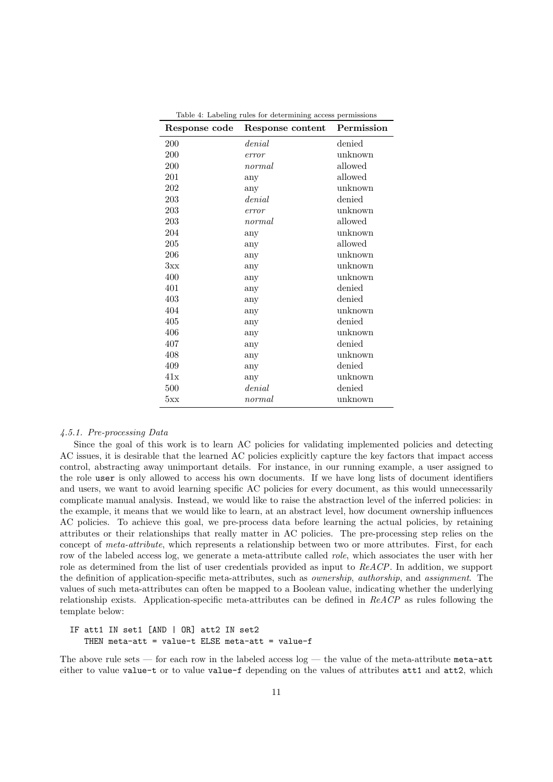| Response code | Response content | Permission |
|---------------|------------------|------------|
| 200           | denial           | denied     |
| 200           | error            | unknown    |
| 200           | normal           | allowed    |
| 201           | any              | allowed    |
| 202           | any              | unknown    |
| 203           | denial           | denied     |
| 203           | error            | unknown    |
| 203           | normal           | allowed    |
| 204           | any              | unknown    |
| 205           | any              | allowed    |
| 206           | any              | unknown    |
| 3xx           | any              | unknown    |
| 400           | any              | unknown    |
| 401           | any              | denied     |
| 403           | any              | denied     |
| 404           | any              | unknown    |
| 405           | any              | denied     |
| 406           | any              | unknown    |
| 407           | any              | denied     |
| 408           | any              | unknown    |
| 409           | any              | denied     |
| 41x           | any              | unknown    |
| 500           | denial           | denied     |
| 5xx           | normal           | unknown    |

<span id="page-10-0"></span>Table 4: Labeling rules for determining access permissions

# <span id="page-10-1"></span>4.5.1. Pre-processing Data

Since the goal of this work is to learn AC policies for validating implemented policies and detecting AC issues, it is desirable that the learned AC policies explicitly capture the key factors that impact access control, abstracting away unimportant details. For instance, in our running example, a user assigned to the role user is only allowed to access his own documents. If we have long lists of document identifiers and users, we want to avoid learning specific AC policies for every document, as this would unnecessarily complicate manual analysis. Instead, we would like to raise the abstraction level of the inferred policies: in the example, it means that we would like to learn, at an abstract level, how document ownership influences AC policies. To achieve this goal, we pre-process data before learning the actual policies, by retaining attributes or their relationships that really matter in AC policies. The pre-processing step relies on the concept of *meta-attribute*, which represents a relationship between two or more attributes. First, for each row of the labeled access log, we generate a meta-attribute called *role*, which associates the user with her role as determined from the list of user credentials provided as input to ReACP. In addition, we support the definition of application-specific meta-attributes, such as ownership, authorship, and assignment. The values of such meta-attributes can often be mapped to a Boolean value, indicating whether the underlying relationship exists. Application-specific meta-attributes can be defined in ReACP as rules following the template below:

IF att1 IN set1 [AND | OR] att2 IN set2 THEN meta-att = value-t ELSE meta-att = value-f

The above rule sets — for each row in the labeled access  $log -$  the value of the meta-attribute meta-attribute either to value value-t or to value value-f depending on the values of attributes att1 and att2, which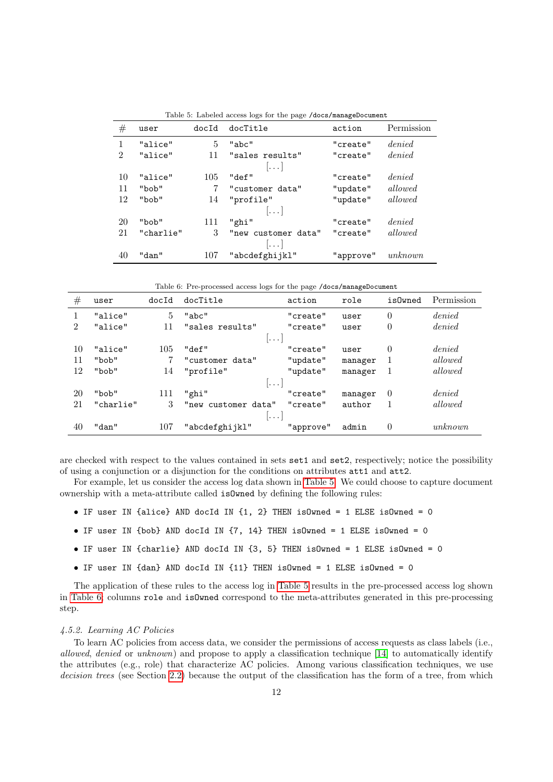| $^{\#}$        | user      | docId | docTitle                | action    | Permission |
|----------------|-----------|-------|-------------------------|-----------|------------|
| 1              | "alice"   | 5     | "abc"                   | "create"  | denied     |
| $\overline{2}$ | "alice"   | 11    | "sales results"         | "create"  | denied     |
|                |           |       | $\left  \ldots \right $ |           |            |
| 10             | "alice"   | 105   | "def"                   | "create"  | denied     |
| 11             | "bob"     |       | "customer data"         | "update"  | allowed    |
| 12             | "bob"     | 14    | "profile"               | "update"  | allowed    |
|                |           |       | $\left[\ldots\right]$   |           |            |
| 20             | "bob"     | 111   | "ghi"                   | "create"  | denied     |
| 21             | "charlie" | 3     | "new customer data"     | "create"  | allowed    |
|                |           |       | $\left[\ldots\right]$   |           |            |
| 40             | "dan"     | 107   | "abcdefghijkl"          | "approve" | unknown    |

<span id="page-11-0"></span>Table 5: Labeled access logs for the page /docs/manageDocument

<span id="page-11-1"></span>Table 6: Pre-processed access logs for the page /docs/manageDocument

| #              | user                 | docId | docTitle            | action    | role    | isOwned  | Permission |  |  |
|----------------|----------------------|-------|---------------------|-----------|---------|----------|------------|--|--|
|                | "alice"              | 5     | "abc"               | "create"  | user    | $\theta$ | denied     |  |  |
| $\overline{2}$ | "alice"              | 11    | "sales results"     | "create"  | user    | $\theta$ | denied     |  |  |
|                |                      |       | $ .\,.\,$           |           |         |          |            |  |  |
| 10             | "alice"              | 105   | "def"               | "create"  | user    | $\theta$ | denied     |  |  |
| 11             | "bob"                |       | "customer data"     | "update"  | manager | 1        | allowed    |  |  |
| 12             | "bob"                | 14    | "profile"           | "update"  | manager |          | allowed    |  |  |
|                |                      |       | $ \ldots $          |           |         |          |            |  |  |
| 20             | "bob"                | 111   | "ghi"               | "create"  | manager | $\theta$ | denied     |  |  |
| 21             | "charlie"            | 3     | "new customer data" | "create"  | author  |          | allowed    |  |  |
|                | $\vert \ldots \vert$ |       |                     |           |         |          |            |  |  |
| 40             | "dan"                | 107   | "abcdefghijkl"      | "approve" | admin   | $\theta$ | unknown    |  |  |

are checked with respect to the values contained in sets set1 and set2, respectively; notice the possibility of using a conjunction or a disjunction for the conditions on attributes att1 and att2.

For example, let us consider the access log data shown in [Table 5.](#page-11-0) We could choose to capture document ownership with a meta-attribute called isOwned by defining the following rules:

- IF user IN {alice} AND docId IN {1, 2} THEN isOwned = 1 ELSE isOwned = 0
- IF user IN  $\{bob\}$  AND docId IN  $\{7, 14\}$  THEN isOwned = 1 ELSE isOwned = 0
- IF user IN {charlie} AND docId IN {3, 5} THEN isOwned = 1 ELSE isOwned = 0
- IF user IN {dan} AND docId IN {11} THEN isOwned = 1 ELSE isOwned = 0

The application of these rules to the access log in [Table 5](#page-11-0) results in the pre-processed access log shown in [Table 6;](#page-11-1) columns role and isOwned correspond to the meta-attributes generated in this pre-processing step.

# 4.5.2. Learning AC Policies

To learn AC policies from access data, we consider the permissions of access requests as class labels (i.e., allowed, denied or unknown) and propose to apply a classification technique [\[14\]](#page-26-13) to automatically identify the attributes (e.g., role) that characterize AC policies. Among various classification techniques, we use decision trees (see Section [2.2\)](#page-2-1) because the output of the classification has the form of a tree, from which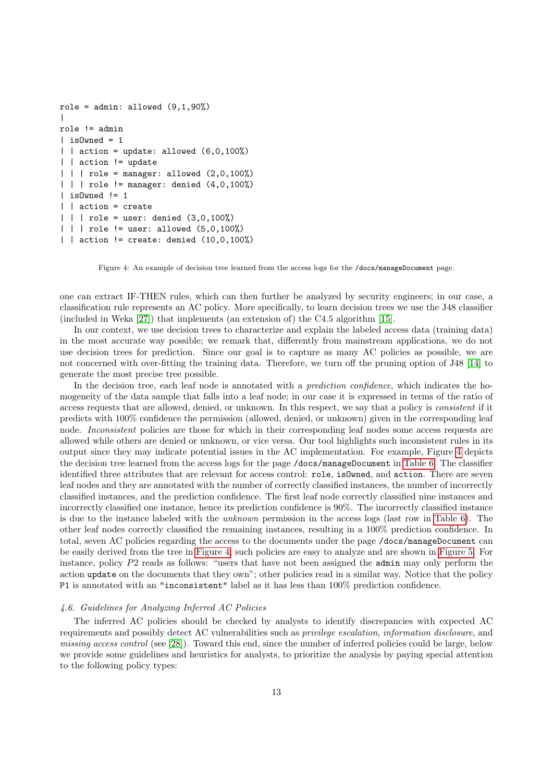```
role = admin: allowed (9,1,90%)|
role != admin
| is0wned = 1
\vert action = update: allowed (6,0,100%)| | action != update
| | | role = manager: allowed (2,0,100%)| | | role != manager: denied (4,0,100%)
\vert isOwned != 1
| | action = create
| | | role = user: denied (3,0,100%)| | | role != user: allowed (5,0,100%)
| | action != create: denied (10,0,100%)
```
<span id="page-12-0"></span>Figure 4: An example of decision tree learned from the access logs for the /docs/manageDocument page.

one can extract IF-THEN rules, which can then further be analyzed by security engineers; in our case, a classification rule represents an AC policy. More specifically, to learn decision trees we use the J48 classifier (included in Weka [\[27\]](#page-26-26)) that implements (an extension of) the C4.5 algorithm [\[15\]](#page-26-14).

In our context, we use decision trees to characterize and explain the labeled access data (training data) in the most accurate way possible; we remark that, differently from mainstream applications, we do not use decision trees for prediction. Since our goal is to capture as many AC policies as possible, we are not concerned with over-fitting the training data. Therefore, we turn off the pruning option of J48 [\[14\]](#page-26-13) to generate the most precise tree possible.

In the decision tree, each leaf node is annotated with a *prediction confidence*, which indicates the homogeneity of the data sample that falls into a leaf node; in our case it is expressed in terms of the ratio of access requests that are allowed, denied, or unknown. In this respect, we say that a policy is consistent if it predicts with 100% confidence the permission (allowed, denied, or unknown) given in the corresponding leaf node. Inconsistent policies are those for which in their corresponding leaf nodes some access requests are allowed while others are denied or unknown, or vice versa. Our tool highlights such inconsistent rules in its output since they may indicate potential issues in the AC implementation. For example, Figure [4](#page-12-0) depicts the decision tree learned from the access logs for the page /docs/manageDocument in [Table 6.](#page-11-1) The classifier identified three attributes that are relevant for access control: role, isOwned, and action. There are seven leaf nodes and they are annotated with the number of correctly classified instances, the number of incorrectly classified instances, and the prediction confidence. The first leaf node correctly classified nine instances and incorrectly classified one instance, hence its prediction confidence is 90%. The incorrectly classified instance is due to the instance labeled with the unknown permission in the access logs (last row in [Table 6\)](#page-11-1). The other leaf nodes correctly classified the remaining instances, resulting in a 100% prediction confidence. In total, seven AC policies regarding the access to the documents under the page /docs/manageDocument can be easily derived from the tree in [Figure 4;](#page-12-0) such policies are easy to analyze and are shown in [Figure 5.](#page-13-0) For instance, policy P2 reads as follows: "users that have not been assigned the admin may only perform the action update on the documents that they own"; other policies read in a similar way. Notice that the policy P1 is annotated with an "inconsistent" label as it has less than 100% prediction confidence.

# <span id="page-12-1"></span>4.6. Guidelines for Analyzing Inferred AC Policies

The inferred AC policies should be checked by analysts to identify discrepancies with expected AC requirements and possibly detect AC vulnerabilities such as privilege escalation, information disclosure, and missing access control (see [\[28\]](#page-26-27)). Toward this end, since the number of inferred policies could be large, below we provide some guidelines and heuristics for analysts, to prioritize the analysis by paying special attention to the following policy types: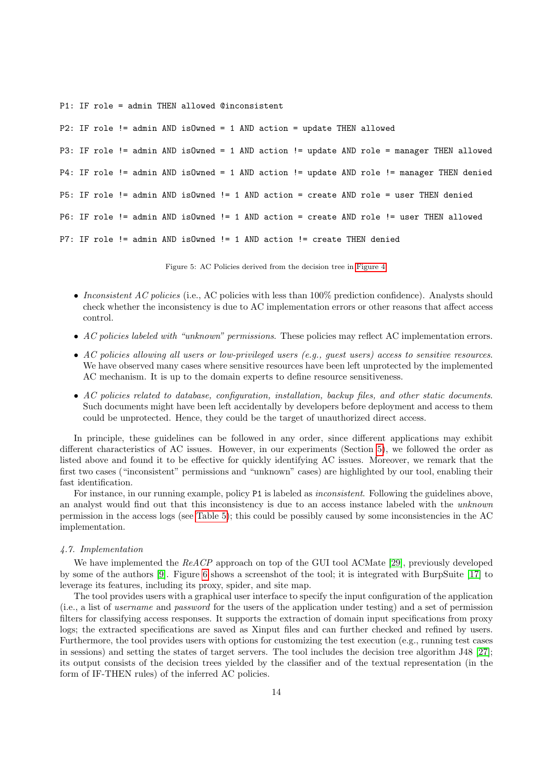P1: IF role = admin THEN allowed @inconsistent

```
P2: IF role != admin AND isOwned = 1 AND action = update THEN allowed
P3: IF role != admin AND isOwned = 1 AND action != update AND role = manager THEN allowed
P4: IF role != admin AND isOwned = 1 AND action != update AND role != manager THEN denied
P5: IF role != admin AND isOwned != 1 AND action = create AND role = user THEN denied
P6: IF role != admin AND isOwned != 1 AND action = create AND role != user THEN allowed
P7: IF role != admin AND isOwned != 1 AND action != create THEN denied
```
<span id="page-13-0"></span>Figure 5: AC Policies derived from the decision tree in [Figure 4.](#page-12-0)

- Inconsistent AC policies (i.e., AC policies with less than  $100\%$  prediction confidence). Analysts should check whether the inconsistency is due to AC implementation errors or other reasons that affect access control.
- AC policies labeled with "unknown" permissions. These policies may reflect AC implementation errors.
- AC policies allowing all users or low-privileged users (e.g., guest users) access to sensitive resources. We have observed many cases where sensitive resources have been left unprotected by the implemented AC mechanism. It is up to the domain experts to define resource sensitiveness.
- AC policies related to database, configuration, installation, backup files, and other static documents. Such documents might have been left accidentally by developers before deployment and access to them could be unprotected. Hence, they could be the target of unauthorized direct access.

In principle, these guidelines can be followed in any order, since different applications may exhibit different characteristics of AC issues. However, in our experiments (Section [5\)](#page-14-0), we followed the order as listed above and found it to be effective for quickly identifying AC issues. Moreover, we remark that the first two cases ("inconsistent" permissions and "unknown" cases) are highlighted by our tool, enabling their fast identification.

For instance, in our running example, policy P1 is labeled as *inconsistent*. Following the guidelines above, an analyst would find out that this inconsistency is due to an access instance labeled with the unknown permission in the access logs (see [Table 5\)](#page-11-0); this could be possibly caused by some inconsistencies in the AC implementation.

#### 4.7. Implementation

We have implemented the ReACP approach on top of the GUI tool ACMate [\[29\]](#page-27-0), previously developed by some of the authors [\[9\]](#page-26-8). Figure [6](#page-14-1) shows a screenshot of the tool; it is integrated with BurpSuite [\[17\]](#page-26-16) to leverage its features, including its proxy, spider, and site map.

The tool provides users with a graphical user interface to specify the input configuration of the application (i.e., a list of username and password for the users of the application under testing) and a set of permission filters for classifying access responses. It supports the extraction of domain input specifications from proxy logs; the extracted specifications are saved as Xinput files and can further checked and refined by users. Furthermore, the tool provides users with options for customizing the test execution (e.g., running test cases in sessions) and setting the states of target servers. The tool includes the decision tree algorithm J48 [\[27\]](#page-26-26); its output consists of the decision trees yielded by the classifier and of the textual representation (in the form of IF-THEN rules) of the inferred AC policies.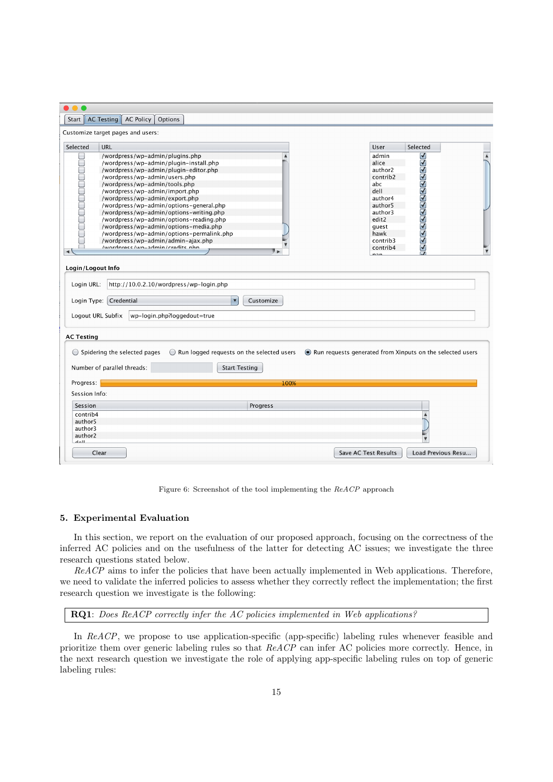| <b>AC Testing AC Policy</b><br>Options<br>Start $\ $                                            |                                                           |
|-------------------------------------------------------------------------------------------------|-----------------------------------------------------------|
| Customize target pages and users:                                                               |                                                           |
| Selected<br><b>URL</b>                                                                          | Selected<br>User                                          |
| /wordpress/wp-admin/plugins.php                                                                 | admin                                                     |
| $\Box$<br>/wordpress/wp-admin/plugin-install.php<br>/wordpress/wp-admin/plugin-editor.php       | <b>JOBOGOGOGOGOGOG</b><br>alice<br>author <sub>2</sub>    |
| /wordpress/wp-admin/users.php                                                                   | contrib2                                                  |
| /wordpress/wp-admin/tools.php                                                                   | abc                                                       |
| na an am an am a<br>/wordpress/wp-admin/import.php                                              | dell                                                      |
| /wordpress/wp-admin/export.php                                                                  | author4                                                   |
| /wordpress/wp-admin/options-general.php                                                         | author5                                                   |
| /wordpress/wp-admin/options-writing.php                                                         | author3                                                   |
| /wordpress/wp-admin/options-reading.php<br>/wordpress/wp-admin/options-media.php                | edit2<br>guest                                            |
| /wordpress/wp-admin/options-permalink.php                                                       | hawk                                                      |
| /wordpress/wp-admin/admin-ajax.php                                                              | contrib3                                                  |
| Iwordnrace Iwn-admin Irradite nhn<br>$\blacktriangleleft$                                       | contrib4                                                  |
|                                                                                                 | nnn                                                       |
| Login/Logout Info                                                                               |                                                           |
|                                                                                                 |                                                           |
| Login URL:<br>http://10.0.2.10/wordpress/wp-login.php                                           |                                                           |
| Login Type: Credential<br>$\blacktriangledown$<br>Customize                                     |                                                           |
| Logout URL Subfix<br>wp-login.php?loggedout=true                                                |                                                           |
| <b>AC Testing</b>                                                                               |                                                           |
| $\bigcirc$ Spidering the selected pages<br>$\bigcirc$ Run logged requests on the selected users | Run requests generated from Xinputs on the selected users |
| Number of parallel threads:<br><b>Start Testing</b>                                             |                                                           |
| Progress:<br>100%                                                                               |                                                           |
|                                                                                                 |                                                           |
| Session Info:                                                                                   |                                                           |
| Session<br>Progress                                                                             |                                                           |
| contrib4                                                                                        |                                                           |
| author5<br>author3                                                                              |                                                           |
| author2                                                                                         |                                                           |
| اللمام                                                                                          |                                                           |
| Clear                                                                                           | Load Previous Resu<br>Save AC Test Results                |

<span id="page-14-1"></span>Figure 6: Screenshot of the tool implementing the ReACP approach

# <span id="page-14-0"></span>5. Experimental Evaluation

In this section, we report on the evaluation of our proposed approach, focusing on the correctness of the inferred AC policies and on the usefulness of the latter for detecting AC issues; we investigate the three research questions stated below.

ReACP aims to infer the policies that have been actually implemented in Web applications. Therefore, we need to validate the inferred policies to assess whether they correctly reflect the implementation; the first research question we investigate is the following:

RQ1: Does ReACP correctly infer the AC policies implemented in Web applications?

In ReACP, we propose to use application-specific (app-specific) labeling rules whenever feasible and prioritize them over generic labeling rules so that ReACP can infer AC policies more correctly. Hence, in the next research question we investigate the role of applying app-specific labeling rules on top of generic labeling rules: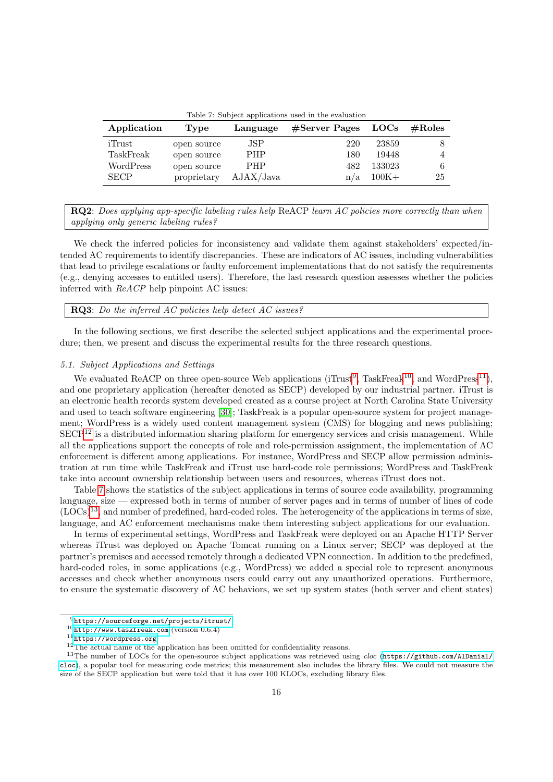<span id="page-15-4"></span>Table 7: Subject applications used in the evaluation

| Application | Type        | Language   | $#Server$ Pages | $_{\rm LOCs}$ | $\#\mathrm{Roles}$ |
|-------------|-------------|------------|-----------------|---------------|--------------------|
| iTrust      | open source | JSP        | 220             | 23859         | 8                  |
| TaskFreak   | open source | PHP        | 180             | 19448         |                    |
| WordPress   | open source | <b>PHP</b> | 482             | 133023        | 6                  |
| <b>SECP</b> | proprietary | AJAX/Java  | n/a             | $100K +$      | 25                 |

RQ2: Does applying app-specific labeling rules help ReACP learn AC policies more correctly than when applying only generic labeling rules?

We check the inferred policies for inconsistency and validate them against stakeholders' expected/intended AC requirements to identify discrepancies. These are indicators of AC issues, including vulnerabilities that lead to privilege escalations or faulty enforcement implementations that do not satisfy the requirements (e.g., denying accesses to entitled users). Therefore, the last research question assesses whether the policies inferred with ReACP help pinpoint AC issues:

RQ3: Do the inferred AC policies help detect AC issues?

In the following sections, we first describe the selected subject applications and the experimental procedure; then, we present and discuss the experimental results for the three research questions.

# <span id="page-15-6"></span>5.1. Subject Applications and Settings

We evaluated ReACP on three open-source Web applications ( $i$ Trust<sup>[9](#page-15-0)</sup>, TaskFreak<sup>[10](#page-15-1)</sup>, and WordPress<sup>[11](#page-15-2)</sup>), and one proprietary application (hereafter denoted as SECP) developed by our industrial partner. iTrust is an electronic health records system developed created as a course project at North Carolina State University and used to teach software engineering [\[30\]](#page-27-1); TaskFreak is a popular open-source system for project management; WordPress is a widely used content management system (CMS) for blogging and news publishing;  $SECP<sup>12</sup>$  $SECP<sup>12</sup>$  $SECP<sup>12</sup>$  is a distributed information sharing platform for emergency services and crisis management. While all the applications support the concepts of role and role-permission assignment, the implementation of AC enforcement is different among applications. For instance, WordPress and SECP allow permission administration at run time while TaskFreak and iTrust use hard-code role permissions; WordPress and TaskFreak take into account ownership relationship between users and resources, whereas iTrust does not.

Table [7](#page-15-4) shows the statistics of the subject applications in terms of source code availability, programming language, size — expressed both in terms of number of server pages and in terms of number of lines of code (LOCs)[13](#page-15-5), and number of predefined, hard-coded roles. The heterogeneity of the applications in terms of size, language, and AC enforcement mechanisms make them interesting subject applications for our evaluation.

In terms of experimental settings, WordPress and TaskFreak were deployed on an Apache HTTP Server whereas iTrust was deployed on Apache Tomcat running on a Linux server; SECP was deployed at the partner's premises and accessed remotely through a dedicated VPN connection. In addition to the predefined, hard-coded roles, in some applications (e.g., WordPress) we added a special role to represent anonymous accesses and check whether anonymous users could carry out any unauthorized operations. Furthermore, to ensure the systematic discovery of AC behaviors, we set up system states (both server and client states)

<span id="page-15-0"></span><sup>9</sup><https://sourceforge.net/projects/itrust/>

<span id="page-15-1"></span><sup>10</sup><http://www.taskfreak.com> (version 0.6.4)

<span id="page-15-2"></span><sup>11</sup><https://wordpress.org>

<span id="page-15-5"></span><span id="page-15-3"></span> $12$ The actual name of the application has been omitted for confidentiality reasons.

<sup>&</sup>lt;sup>13</sup>The number of LOCs for the open-source subject applications was retrieved using *cloc* ([https://github.com/AlDanial/](https://github.com/AlDanial/cloc) [cloc](https://github.com/AlDanial/cloc)), a popular tool for measuring code metrics; this measurement also includes the library files. We could not measure the size of the SECP application but were told that it has over 100 KLOCs, excluding library files.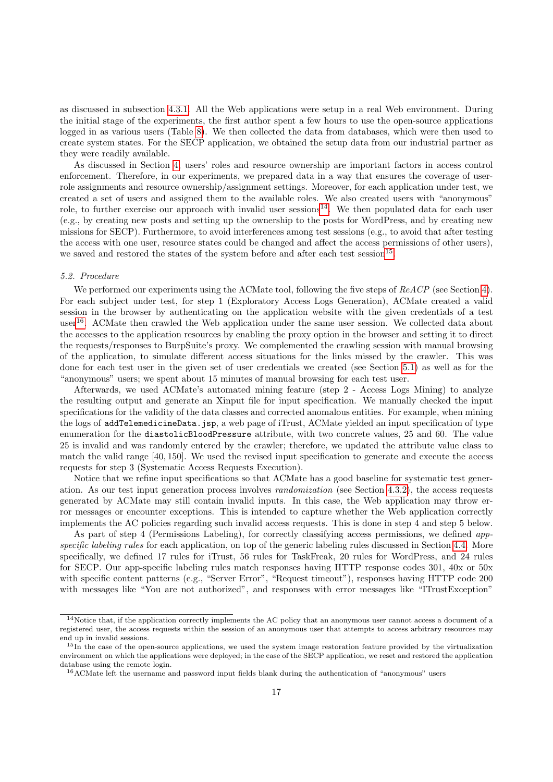as discussed in subsection [4.3.1.](#page-7-3) All the Web applications were setup in a real Web environment. During the initial stage of the experiments, the first author spent a few hours to use the open-source applications logged in as various users (Table [8\)](#page-17-0). We then collected the data from databases, which were then used to create system states. For the SECP application, we obtained the setup data from our industrial partner as they were readily available.

As discussed in Section [4,](#page-5-0) users' roles and resource ownership are important factors in access control enforcement. Therefore, in our experiments, we prepared data in a way that ensures the coverage of userrole assignments and resource ownership/assignment settings. Moreover, for each application under test, we created a set of users and assigned them to the available roles. We also created users with "anonymous" role, to further exercise our approach with invalid user sessions<sup>[14](#page-16-0)</sup>. We then populated data for each user (e.g., by creating new posts and setting up the ownership to the posts for WordPress, and by creating new missions for SECP). Furthermore, to avoid interferences among test sessions (e.g., to avoid that after testing the access with one user, resource states could be changed and affect the access permissions of other users), we saved and restored the states of the system before and after each test session<sup>[15](#page-16-1)</sup>.

#### 5.2. Procedure

We performed our experiments using the ACMate tool, following the five steps of ReACP (see Section [4\)](#page-5-0). For each subject under test, for step 1 (Exploratory Access Logs Generation), ACMate created a valid session in the browser by authenticating on the application website with the given credentials of a test user[16](#page-16-2). ACMate then crawled the Web application under the same user session. We collected data about the accesses to the application resources by enabling the proxy option in the browser and setting it to direct the requests/responses to BurpSuite's proxy. We complemented the crawling session with manual browsing of the application, to simulate different access situations for the links missed by the crawler. This was done for each test user in the given set of user credentials we created (see Section [5.1\)](#page-15-6) as well as for the "anonymous" users; we spent about 15 minutes of manual browsing for each test user.

Afterwards, we used ACMate's automated mining feature (step 2 - Access Logs Mining) to analyze the resulting output and generate an Xinput file for input specification. We manually checked the input specifications for the validity of the data classes and corrected anomalous entities. For example, when mining the logs of addTelemedicineData.jsp, a web page of iTrust, ACMate yielded an input specification of type enumeration for the diastolicBloodPressure attribute, with two concrete values, 25 and 60. The value 25 is invalid and was randomly entered by the crawler; therefore, we updated the attribute value class to match the valid range [40, 150]. We used the revised input specification to generate and execute the access requests for step 3 (Systematic Access Requests Execution).

Notice that we refine input specifications so that ACMate has a good baseline for systematic test generation. As our test input generation process involves randomization (see Section [4.3.2\)](#page-7-2), the access requests generated by ACMate may still contain invalid inputs. In this case, the Web application may throw error messages or encounter exceptions. This is intended to capture whether the Web application correctly implements the AC policies regarding such invalid access requests. This is done in step 4 and step 5 below.

As part of step 4 (Permissions Labeling), for correctly classifying access permissions, we defined app-specific labeling rules for each application, on top of the generic labeling rules discussed in Section [4.4.](#page-9-1) More specifically, we defined 17 rules for iTrust, 56 rules for TaskFreak, 20 rules for WordPress, and 24 rules for SECP. Our app-specific labeling rules match responses having HTTP response codes 301, 40x or 50x with specific content patterns (e.g., "Server Error", "Request timeout"), responses having HTTP code 200 with messages like "You are not authorized", and responses with error messages like "ITrustException"

<span id="page-16-0"></span><sup>14</sup>Notice that, if the application correctly implements the AC policy that an anonymous user cannot access a document of a registered user, the access requests within the session of an anonymous user that attempts to access arbitrary resources may end up in invalid sessions.

<span id="page-16-1"></span><sup>&</sup>lt;sup>15</sup>In the case of the open-source applications, we used the system image restoration feature provided by the virtualization environment on which the applications were deployed; in the case of the SECP application, we reset and restored the application database using the remote login.

<span id="page-16-2"></span><sup>16</sup>ACMate left the username and password input fields blank during the authentication of "anonymous" users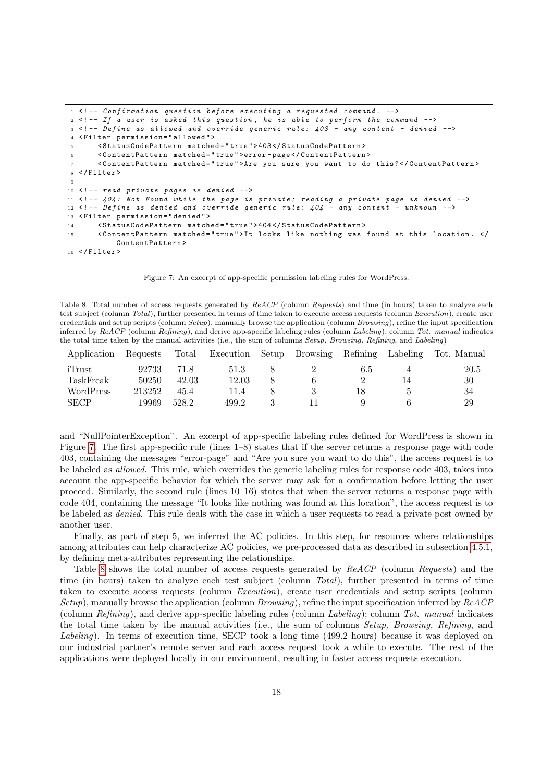```
1 <!-- Confirmation question before executing a requested command. -->
2 \leq 1 - - If a user is asked this question, he is able to perform the command -3 <!-- Define as allowed and override generic rule: 403 - any content - denied -->
  4 < Filter permission = " allowed " >
5 < StatusCodePattern matched =" true " > 403 </ StatusCodePattern >
6 < ContentPattern matched =" true " > error - page </ ContentPattern >
       7 < ContentPattern matched =" true " > Are you sure you want to do this ? </ ContentPattern >
8 </ Filter >
 9
10 <!-- read private pages is denied -->
11 \leq - 404: Not Found while the page is private; reading a private page is denied -12 <! -- Define as denied and override generic rule: 404 - any content - unknown -->
13 < Filter permission = "denied">
14 < StatusCodePattern matched =" true " > 404 </ StatusCodePattern >
15 < ContentPattern matched="true">It looks like nothing was found at this location. </
           ContentPattern >
16 </Filter>
```
<span id="page-17-1"></span>Figure 7: An excerpt of app-specific permission labeling rules for WordPress.

<span id="page-17-0"></span>Table 8: Total number of access requests generated by ReACP (column Requests) and time (in hours) taken to analyze each test subject (column Total), further presented in terms of time taken to execute access requests (column Execution), create user credentials and setup scripts (column Setup), manually browse the application (column Browsing), refine the input specification inferred by ReACP (column Refining), and derive app-specific labeling rules (column Labeling); column Tot. manual indicates the total time taken by the manual activities (i.e., the sum of columns Setup, Browsing, Refining, and Labeling)

| Application | Requests | Total | Execution | Setup | <b>Browsing</b> | Refining | Labeling | Tot. Manual |
|-------------|----------|-------|-----------|-------|-----------------|----------|----------|-------------|
| iTrust      | 92733    | 71.8  | 51.3      |       |                 | 6.5      |          | 20.5        |
| TaskFreak   | 50250    | 42.03 | 12.03     |       |                 |          | 14       | 30          |
| WordPress   | 213252   | 45.4  | 11.4      |       |                 | 18       |          | 34          |
| <b>SECP</b> | 19969    | 528.2 | 499.2     |       |                 |          |          | 29          |

and "NullPointerException". An excerpt of app-specific labeling rules defined for WordPress is shown in Figure [7.](#page-17-1) The first app-specific rule (lines 1–8) states that if the server returns a response page with code 403, containing the messages "error-page" and "Are you sure you want to do this", the access request is to be labeled as allowed. This rule, which overrides the generic labeling rules for response code 403, takes into account the app-specific behavior for which the server may ask for a confirmation before letting the user proceed. Similarly, the second rule (lines 10–16) states that when the server returns a response page with code 404, containing the message "It looks like nothing was found at this location", the access request is to be labeled as denied. This rule deals with the case in which a user requests to read a private post owned by another user.

Finally, as part of step 5, we inferred the AC policies. In this step, for resources where relationships among attributes can help characterize AC policies, we pre-processed data as described in subsection [4.5.1,](#page-10-1) by defining meta-attributes representing the relationships.

Table [8](#page-17-0) shows the total number of access requests generated by  $ReACP$  (column Requests) and the time (in hours) taken to analyze each test subject (column Total), further presented in terms of time taken to execute access requests (column Execution), create user credentials and setup scripts (column Setup), manually browse the application (column Browsing), refine the input specification inferred by  $ReACP$ (column Refining), and derive app-specific labeling rules (column Labeling); column Tot. manual indicates the total time taken by the manual activities (i.e., the sum of columns Setup, Browsing, Refining, and Labeling). In terms of execution time, SECP took a long time (499.2 hours) because it was deployed on our industrial partner's remote server and each access request took a while to execute. The rest of the applications were deployed locally in our environment, resulting in faster access requests execution.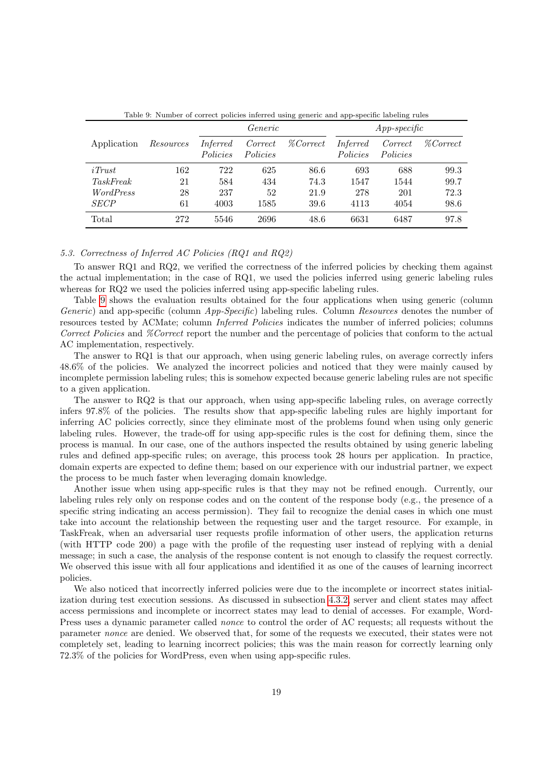|                  |           |                      | Generic             |                 | $App-specific$       |                     |                 |  |
|------------------|-----------|----------------------|---------------------|-----------------|----------------------|---------------------|-----------------|--|
| Application      | Resources | Inferred<br>Policies | Correct<br>Policies | <i>%Correct</i> | Inferred<br>Policies | Correct<br>Policies | <i>%Correct</i> |  |
| $i$ Trust        | 162       | 722                  | 625                 | 86.6            | 693                  | 688                 | 99.3            |  |
| <i>TaskFreak</i> | 21        | 584                  | 434                 | 74.3            | 1547                 | 1544                | 99.7            |  |
| <i>WordPress</i> | 28        | 237                  | 52                  | 21.9            | 278                  | 201                 | 72.3            |  |
| <b>SECP</b>      | 61        | 4003                 | 1585                | 39.6            | 4113                 | 4054                | 98.6            |  |
| Total            | 272       | 5546                 | 2696                | 48.6            | 6631                 | 6487                | 97.8            |  |

<span id="page-18-0"></span>Table 9: Number of correct policies inferred using generic and app-specific labeling rules

# <span id="page-18-1"></span>5.3. Correctness of Inferred AC Policies (RQ1 and RQ2)

To answer RQ1 and RQ2, we verified the correctness of the inferred policies by checking them against the actual implementation; in the case of RQ1, we used the policies inferred using generic labeling rules whereas for RQ2 we used the policies inferred using app-specific labeling rules.

Table [9](#page-18-0) shows the evaluation results obtained for the four applications when using generic (column Generic) and app-specific (column App-Specific) labeling rules. Column Resources denotes the number of resources tested by ACMate; column Inferred Policies indicates the number of inferred policies; columns Correct Policies and *%Correct* report the number and the percentage of policies that conform to the actual AC implementation, respectively.

The answer to RQ1 is that our approach, when using generic labeling rules, on average correctly infers 48.6% of the policies. We analyzed the incorrect policies and noticed that they were mainly caused by incomplete permission labeling rules; this is somehow expected because generic labeling rules are not specific to a given application.

The answer to RQ2 is that our approach, when using app-specific labeling rules, on average correctly infers 97.8% of the policies. The results show that app-specific labeling rules are highly important for inferring AC policies correctly, since they eliminate most of the problems found when using only generic labeling rules. However, the trade-off for using app-specific rules is the cost for defining them, since the process is manual. In our case, one of the authors inspected the results obtained by using generic labeling rules and defined app-specific rules; on average, this process took 28 hours per application. In practice, domain experts are expected to define them; based on our experience with our industrial partner, we expect the process to be much faster when leveraging domain knowledge.

Another issue when using app-specific rules is that they may not be refined enough. Currently, our labeling rules rely only on response codes and on the content of the response body (e.g., the presence of a specific string indicating an access permission). They fail to recognize the denial cases in which one must take into account the relationship between the requesting user and the target resource. For example, in TaskFreak, when an adversarial user requests profile information of other users, the application returns (with HTTP code 200) a page with the profile of the requesting user instead of replying with a denial message; in such a case, the analysis of the response content is not enough to classify the request correctly. We observed this issue with all four applications and identified it as one of the causes of learning incorrect policies.

We also noticed that incorrectly inferred policies were due to the incomplete or incorrect states initialization during test execution sessions. As discussed in subsection [4.3.2,](#page-7-2) server and client states may affect access permissions and incomplete or incorrect states may lead to denial of accesses. For example, Word-Press uses a dynamic parameter called nonce to control the order of AC requests; all requests without the parameter nonce are denied. We observed that, for some of the requests we executed, their states were not completely set, leading to learning incorrect policies; this was the main reason for correctly learning only 72.3% of the policies for WordPress, even when using app-specific rules.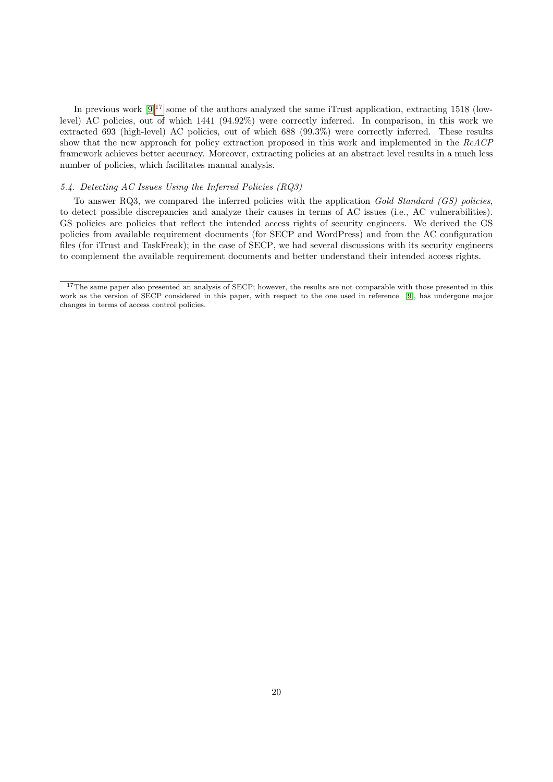In previous work  $[9]^{17}$  $[9]^{17}$  $[9]^{17}$  $[9]^{17}$  some of the authors analyzed the same iTrust application, extracting 1518 (lowlevel) AC policies, out of which 1441 (94.92%) were correctly inferred. In comparison, in this work we extracted 693 (high-level) AC policies, out of which 688 (99.3%) were correctly inferred. These results show that the new approach for policy extraction proposed in this work and implemented in the ReACP framework achieves better accuracy. Moreover, extracting policies at an abstract level results in a much less number of policies, which facilitates manual analysis.

# <span id="page-19-1"></span>5.4. Detecting AC Issues Using the Inferred Policies (RQ3)

To answer RQ3, we compared the inferred policies with the application Gold Standard (GS) policies. to detect possible discrepancies and analyze their causes in terms of AC issues (i.e., AC vulnerabilities). GS policies are policies that reflect the intended access rights of security engineers. We derived the GS policies from available requirement documents (for SECP and WordPress) and from the AC configuration files (for iTrust and TaskFreak); in the case of SECP, we had several discussions with its security engineers to complement the available requirement documents and better understand their intended access rights.

<span id="page-19-0"></span><sup>&</sup>lt;sup>17</sup>The same paper also presented an analysis of SECP; however, the results are not comparable with those presented in this work as the version of SECP considered in this paper, with respect to the one used in reference [\[9\]](#page-26-8), has undergone major changes in terms of access control policies.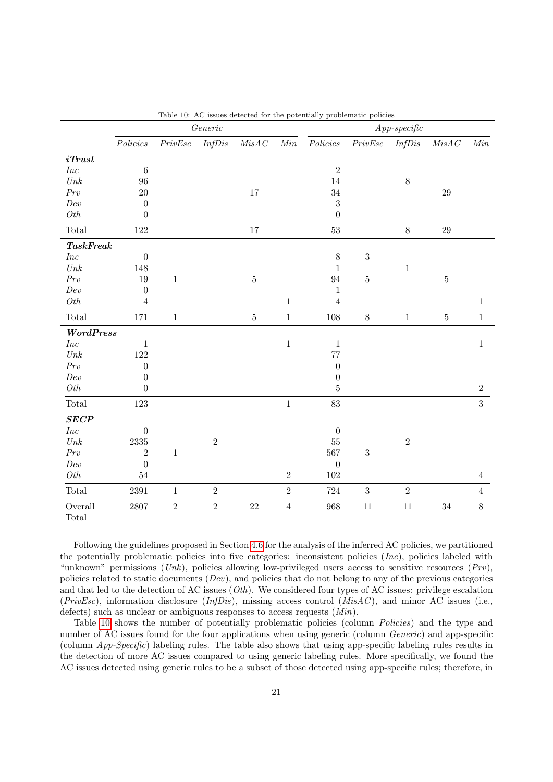|                                 | $\label{eq:Generic} Generic$ |                 |            |                  |                |                  |            | $App-specific$ |             |                |
|---------------------------------|------------------------------|-----------------|------------|------------------|----------------|------------------|------------|----------------|-------------|----------------|
|                                 | Policies                     | ${\it PrivEsc}$ | InfDis     | $\mathit{MisAC}$ | Min            | Policies         | PrivEsc    | InfDis         | MisAC       | Min            |
| $i$ Trust                       |                              |                 |            |                  |                |                  |            |                |             |                |
| $\mathit{Inc}$                  | $\,6$                        |                 |            |                  |                | $\overline{2}$   |            |                |             |                |
| $\normalsize{Unk}$              | 96                           |                 |            |                  |                | 14               |            | $8\,$          |             |                |
| Prv                             | $20\,$                       |                 |            | $17\,$           |                | 34               |            |                | $\sqrt{29}$ |                |
| Dev                             | $\theta$                     |                 |            |                  |                | 3                |            |                |             |                |
| Oth                             | $\boldsymbol{0}$             |                 |            |                  |                | $\boldsymbol{0}$ |            |                |             |                |
| Total                           | 122                          |                 |            | $17\,$           |                | 53               |            | $8\,$          | $29\,$      |                |
| TaskFreak                       |                              |                 |            |                  |                |                  |            |                |             |                |
| $\mathit{Inc}$                  | $\boldsymbol{0}$             |                 |            |                  |                | 8                | $\sqrt{3}$ |                |             |                |
| $\normalsize{Unk}$              | 148                          |                 |            |                  |                | $\mathbf{1}$     |            | $\,1$          |             |                |
| $\Pr v$                         | 19                           | $\,1$           |            | $\bf 5$          |                | 94               | $\bf 5$    |                | $\bf 5$     |                |
| Dev                             | $\boldsymbol{0}$             |                 |            |                  |                | $\mathbf{1}$     |            |                |             |                |
| Oth                             | $\sqrt{4}$                   |                 |            |                  | $\mathbf{1}$   | $\overline{4}$   |            |                |             | $\mathbf{1}$   |
| Total                           | 171                          | $\mathbf 1$     |            | $\bf 5$          | $\mathbf{1}$   | 108              | $8\,$      | $\,1\,$        | $\bf 5$     | $1\,$          |
| WordPress                       |                              |                 |            |                  |                |                  |            |                |             |                |
| <i>Inc</i>                      | $\mathbf{1}$                 |                 |            |                  | $\,1$          | $\mathbf{1}$     |            |                |             | $\mathbf 1$    |
| $\n  Unk\n$                     | 122                          |                 |            |                  |                | 77               |            |                |             |                |
| $\Pr v$                         | $\boldsymbol{0}$             |                 |            |                  |                | $\boldsymbol{0}$ |            |                |             |                |
| Dev                             | $\boldsymbol{0}$             |                 |            |                  |                | $\boldsymbol{0}$ |            |                |             |                |
| $Oth$                           | $\boldsymbol{0}$             |                 |            |                  |                | 5                |            |                |             | $\sqrt{2}$     |
| $\operatorname{\mathsf{Total}}$ | 123                          |                 |            |                  | $\,1\,$        | 83               |            |                |             | 3              |
| SECP                            |                              |                 |            |                  |                |                  |            |                |             |                |
| $\mathit{Inc}$                  | $\theta$                     |                 |            |                  |                | $\boldsymbol{0}$ |            |                |             |                |
| $\n  Unk\n$                     | 2335                         |                 | $\sqrt{2}$ |                  |                | 55               |            | $\,2$          |             |                |
| Prv                             | $\overline{2}$               | $\mathbf{1}$    |            |                  |                | 567              | $\sqrt{3}$ |                |             |                |
| Dev                             | $\boldsymbol{0}$             |                 |            |                  |                | $\boldsymbol{0}$ |            |                |             |                |
| Oth                             | $54\,$                       |                 |            |                  | $\overline{2}$ | 102              |            |                |             | $\overline{4}$ |
| $\operatorname{\mathsf{Total}}$ | 2391                         | $1\,$           | $\sqrt{2}$ |                  | $\overline{2}$ | 724              | $\sqrt{3}$ | $\overline{2}$ |             | $\overline{4}$ |
| Overall                         | 2807                         | $\,2$           | $\,2$      | $22\,$           | $\sqrt{4}$     | 968              | $11\,$     | $11\,$         | $34\,$      | $8\,$          |
| Total                           |                              |                 |            |                  |                |                  |            |                |             |                |

<span id="page-20-0"></span>Table 10: AC issues detected for the potentially problematic policies

Following the guidelines proposed in Section [4.6](#page-12-1) for the analysis of the inferred AC policies, we partitioned the potentially problematic policies into five categories: inconsistent policies  $(Inc)$ , policies labeled with "unknown" permissions (Unk), policies allowing low-privileged users access to sensitive resources (Prv), policies related to static documents  $(Dev)$ , and policies that do not belong to any of the previous categories and that led to the detection of AC issues  $(Oth)$ . We considered four types of AC issues: privilege escalation ( $Private(PrivEsc)$ , information disclosure ( $InfDis$ ), missing access control ( $Miss(C)$ , and minor AC issues (i.e., defects) such as unclear or ambiguous responses to access requests  $(Min)$ .

Table [10](#page-20-0) shows the number of potentially problematic policies (column Policies) and the type and number of AC issues found for the four applications when using generic (column Generic) and app-specific (column App-Specific) labeling rules. The table also shows that using app-specific labeling rules results in the detection of more AC issues compared to using generic labeling rules. More specifically, we found the AC issues detected using generic rules to be a subset of those detected using app-specific rules; therefore, in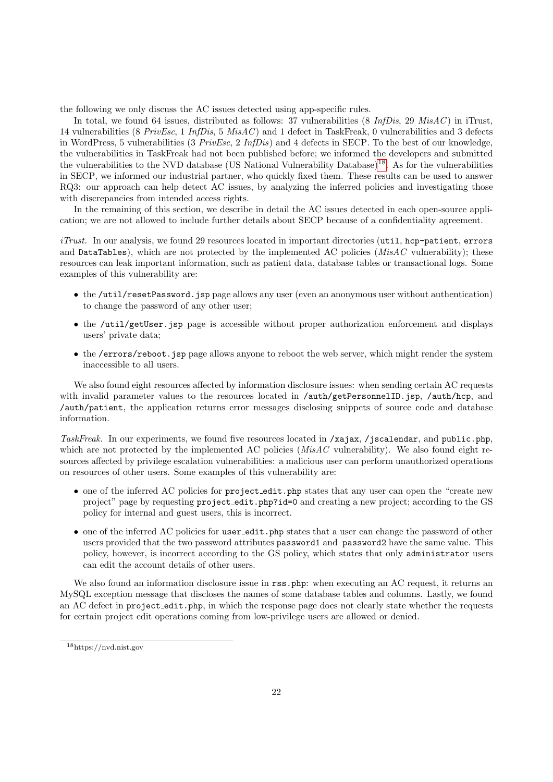the following we only discuss the AC issues detected using app-specific rules.

In total, we found 64 issues, distributed as follows: 37 vulnerabilities (8 InfDis, 29 MisAC) in iTrust, 14 vulnerabilities (8 PrivEsc, 1 InfDis, 5 MisAC ) and 1 defect in TaskFreak, 0 vulnerabilities and 3 defects in WordPress, 5 vulnerabilities (3 PrivEsc, 2 InfDis) and 4 defects in SECP. To the best of our knowledge, the vulnerabilities in TaskFreak had not been published before; we informed the developers and submitted the vulnerabilities to the NVD database (US National Vulnerability Database)[18](#page-21-0). As for the vulnerabilities in SECP, we informed our industrial partner, who quickly fixed them. These results can be used to answer RQ3: our approach can help detect AC issues, by analyzing the inferred policies and investigating those with discrepancies from intended access rights.

In the remaining of this section, we describe in detail the AC issues detected in each open-source application; we are not allowed to include further details about SECP because of a confidentiality agreement.

 $iTrust$ . In our analysis, we found 29 resources located in important directories (util, hcp-patient, errors and DataTables), which are not protected by the implemented AC policies  $(MisAC)$  vulnerability); these resources can leak important information, such as patient data, database tables or transactional logs. Some examples of this vulnerability are:

- the  $\mu$ til/resetPassword. isp page allows any user (even an anonymous user without authentication) to change the password of any other user;
- the /util/getUser.jsp page is accessible without proper authorization enforcement and displays users' private data;
- the /errors/reboot.jsp page allows anyone to reboot the web server, which might render the system inaccessible to all users.

We also found eight resources affected by information disclosure issues: when sending certain AC requests with invalid parameter values to the resources located in /auth/getPersonnelID.jsp, /auth/hcp, and /auth/patient, the application returns error messages disclosing snippets of source code and database information.

TaskFreak. In our experiments, we found five resources located in /xajax, /jscalendar, and public.php, which are not protected by the implemented AC policies  $(MisAC)$  vulnerability). We also found eight resources affected by privilege escalation vulnerabilities: a malicious user can perform unauthorized operations on resources of other users. Some examples of this vulnerability are:

- one of the inferred AC policies for project\_edit.php states that any user can open the "create new project" page by requesting project\_edit.php?id=0 and creating a new project; according to the GS policy for internal and guest users, this is incorrect.
- one of the inferred AC policies for user\_edit.php states that a user can change the password of other users provided that the two password attributes password1 and password2 have the same value. This policy, however, is incorrect according to the GS policy, which states that only administrator users can edit the account details of other users.

We also found an information disclosure issue in  $\texttt{rss}$ , php: when executing an AC request, it returns an MySQL exception message that discloses the names of some database tables and columns. Lastly, we found an AC defect in project\_edit.php, in which the response page does not clearly state whether the requests for certain project edit operations coming from low-privilege users are allowed or denied.

<span id="page-21-0"></span><sup>18</sup>https://nvd.nist.gov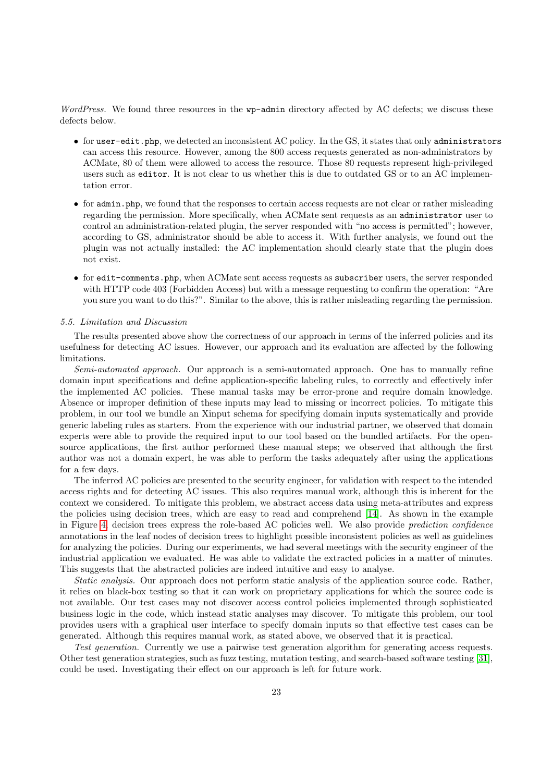WordPress. We found three resources in the wp-admin directory affected by AC defects; we discuss these defects below.

- for user-edit.php, we detected an inconsistent AC policy. In the GS, it states that only administrators can access this resource. However, among the 800 access requests generated as non-administrators by ACMate, 80 of them were allowed to access the resource. Those 80 requests represent high-privileged users such as editor. It is not clear to us whether this is due to outdated GS or to an AC implementation error.
- for admin.php, we found that the responses to certain access requests are not clear or rather misleading regarding the permission. More specifically, when ACMate sent requests as an administrator user to control an administration-related plugin, the server responded with "no access is permitted"; however, according to GS, administrator should be able to access it. With further analysis, we found out the plugin was not actually installed: the AC implementation should clearly state that the plugin does not exist.
- for edit-comments.php, when ACMate sent access requests as subscriber users, the server responded with HTTP code 403 (Forbidden Access) but with a message requesting to confirm the operation: "Are you sure you want to do this?". Similar to the above, this is rather misleading regarding the permission.

## 5.5. Limitation and Discussion

The results presented above show the correctness of our approach in terms of the inferred policies and its usefulness for detecting AC issues. However, our approach and its evaluation are affected by the following limitations.

Semi-automated approach. Our approach is a semi-automated approach. One has to manually refine domain input specifications and define application-specific labeling rules, to correctly and effectively infer the implemented AC policies. These manual tasks may be error-prone and require domain knowledge. Absence or improper definition of these inputs may lead to missing or incorrect policies. To mitigate this problem, in our tool we bundle an Xinput schema for specifying domain inputs systematically and provide generic labeling rules as starters. From the experience with our industrial partner, we observed that domain experts were able to provide the required input to our tool based on the bundled artifacts. For the opensource applications, the first author performed these manual steps; we observed that although the first author was not a domain expert, he was able to perform the tasks adequately after using the applications for a few days.

The inferred AC policies are presented to the security engineer, for validation with respect to the intended access rights and for detecting AC issues. This also requires manual work, although this is inherent for the context we considered. To mitigate this problem, we abstract access data using meta-attributes and express the policies using decision trees, which are easy to read and comprehend [\[14\]](#page-26-13). As shown in the example in Figure [4,](#page-12-0) decision trees express the role-based AC policies well. We also provide prediction confidence annotations in the leaf nodes of decision trees to highlight possible inconsistent policies as well as guidelines for analyzing the policies. During our experiments, we had several meetings with the security engineer of the industrial application we evaluated. He was able to validate the extracted policies in a matter of minutes. This suggests that the abstracted policies are indeed intuitive and easy to analyse.

Static analysis. Our approach does not perform static analysis of the application source code. Rather, it relies on black-box testing so that it can work on proprietary applications for which the source code is not available. Our test cases may not discover access control policies implemented through sophisticated business logic in the code, which instead static analyses may discover. To mitigate this problem, our tool provides users with a graphical user interface to specify domain inputs so that effective test cases can be generated. Although this requires manual work, as stated above, we observed that it is practical.

Test generation. Currently we use a pairwise test generation algorithm for generating access requests. Other test generation strategies, such as fuzz testing, mutation testing, and search-based software testing [\[31\]](#page-27-2), could be used. Investigating their effect on our approach is left for future work.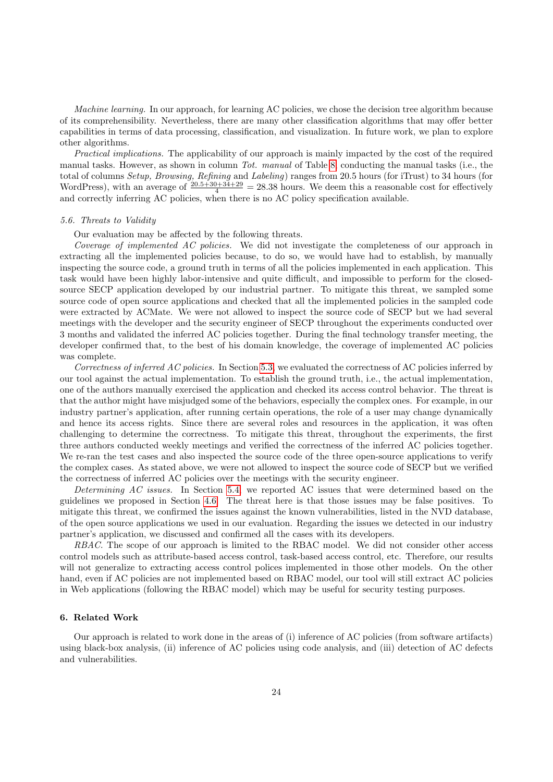Machine learning. In our approach, for learning AC policies, we chose the decision tree algorithm because of its comprehensibility. Nevertheless, there are many other classification algorithms that may offer better capabilities in terms of data processing, classification, and visualization. In future work, we plan to explore other algorithms.

Practical implications. The applicability of our approach is mainly impacted by the cost of the required manual tasks. However, as shown in column Tot. manual of Table [8,](#page-17-0) conducting the manual tasks (i.e., the total of columns Setup, Browsing, Refining and Labeling) ranges from 20.5 hours (for iTrust) to 34 hours (for WordPress), with an average of  $\frac{20.5+30+34+29}{4} = 28.38$  hours. We deem this a reasonable cost for effectively and correctly inferring AC policies, when there is no AC policy specification available.

#### 5.6. Threats to Validity

Our evaluation may be affected by the following threats.

Coverage of implemented AC policies. We did not investigate the completeness of our approach in extracting all the implemented policies because, to do so, we would have had to establish, by manually inspecting the source code, a ground truth in terms of all the policies implemented in each application. This task would have been highly labor-intensive and quite difficult, and impossible to perform for the closedsource SECP application developed by our industrial partner. To mitigate this threat, we sampled some source code of open source applications and checked that all the implemented policies in the sampled code were extracted by ACMate. We were not allowed to inspect the source code of SECP but we had several meetings with the developer and the security engineer of SECP throughout the experiments conducted over 3 months and validated the inferred AC policies together. During the final technology transfer meeting, the developer confirmed that, to the best of his domain knowledge, the coverage of implemented AC policies was complete.

Correctness of inferred AC policies. In Section [5.3,](#page-18-1) we evaluated the correctness of AC policies inferred by our tool against the actual implementation. To establish the ground truth, i.e., the actual implementation, one of the authors manually exercised the application and checked its access control behavior. The threat is that the author might have misjudged some of the behaviors, especially the complex ones. For example, in our industry partner's application, after running certain operations, the role of a user may change dynamically and hence its access rights. Since there are several roles and resources in the application, it was often challenging to determine the correctness. To mitigate this threat, throughout the experiments, the first three authors conducted weekly meetings and verified the correctness of the inferred AC policies together. We re-ran the test cases and also inspected the source code of the three open-source applications to verify the complex cases. As stated above, we were not allowed to inspect the source code of SECP but we verified the correctness of inferred AC policies over the meetings with the security engineer.

Determining AC issues. In Section [5.4,](#page-19-1) we reported AC issues that were determined based on the guidelines we proposed in Section [4.6.](#page-12-1) The threat here is that those issues may be false positives. To mitigate this threat, we confirmed the issues against the known vulnerabilities, listed in the NVD database, of the open source applications we used in our evaluation. Regarding the issues we detected in our industry partner's application, we discussed and confirmed all the cases with its developers.

RBAC. The scope of our approach is limited to the RBAC model. We did not consider other access control models such as attribute-based access control, task-based access control, etc. Therefore, our results will not generalize to extracting access control polices implemented in those other models. On the other hand, even if AC policies are not implemented based on RBAC model, our tool will still extract AC policies in Web applications (following the RBAC model) which may be useful for security testing purposes.

## <span id="page-23-0"></span>6. Related Work

Our approach is related to work done in the areas of (i) inference of AC policies (from software artifacts) using black-box analysis, (ii) inference of AC policies using code analysis, and (iii) detection of AC defects and vulnerabilities.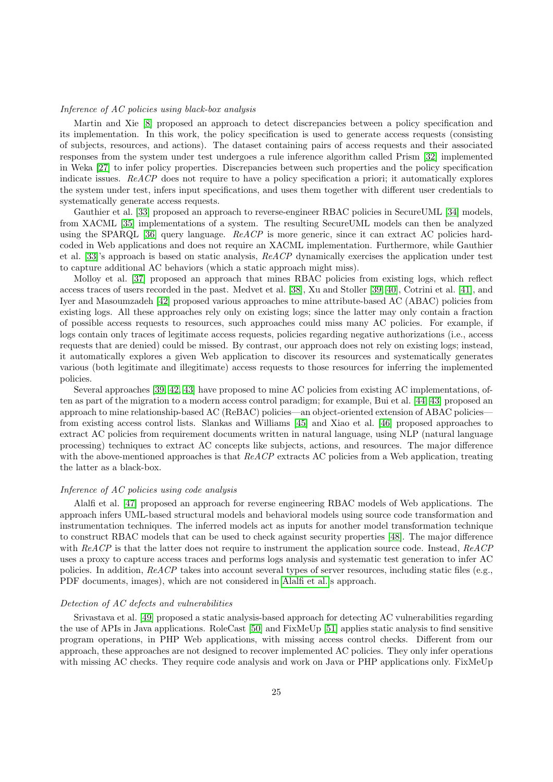## Inference of AC policies using black-box analysis

Martin and Xie [\[8\]](#page-26-7) proposed an approach to detect discrepancies between a policy specification and its implementation. In this work, the policy specification is used to generate access requests (consisting of subjects, resources, and actions). The dataset containing pairs of access requests and their associated responses from the system under test undergoes a rule inference algorithm called Prism [\[32\]](#page-27-3) implemented in Weka [\[27\]](#page-26-26) to infer policy properties. Discrepancies between such properties and the policy specification indicate issues. ReACP does not require to have a policy specification a priori; it automatically explores the system under test, infers input specifications, and uses them together with different user credentials to systematically generate access requests.

Gauthier et al. [\[33\]](#page-27-4) proposed an approach to reverse-engineer RBAC policies in SecureUML [\[34\]](#page-27-5) models, from XACML [\[35\]](#page-27-6) implementations of a system. The resulting SecureUML models can then be analyzed using the SPARQL [\[36\]](#page-27-7) query language. ReACP is more generic, since it can extract AC policies hardcoded in Web applications and does not require an XACML implementation. Furthermore, while Gauthier et al. [\[33\]](#page-27-4)'s approach is based on static analysis, ReACP dynamically exercises the application under test to capture additional AC behaviors (which a static approach might miss).

Molloy et al. [\[37\]](#page-27-8) proposed an approach that mines RBAC policies from existing logs, which reflect access traces of users recorded in the past. Medvet et al. [\[38\]](#page-27-9), Xu and Stoller [\[39,](#page-27-10) [40\]](#page-27-11), Cotrini et al. [\[41\]](#page-27-12), and Iyer and Masoumzadeh [\[42\]](#page-27-13) proposed various approaches to mine attribute-based AC (ABAC) policies from existing logs. All these approaches rely only on existing logs; since the latter may only contain a fraction of possible access requests to resources, such approaches could miss many AC policies. For example, if logs contain only traces of legitimate access requests, policies regarding negative authorizations (i.e., access requests that are denied) could be missed. By contrast, our approach does not rely on existing logs; instead, it automatically explores a given Web application to discover its resources and systematically generates various (both legitimate and illegitimate) access requests to those resources for inferring the implemented policies.

Several approaches [\[39,](#page-27-10) [42,](#page-27-13) [43\]](#page-27-14) have proposed to mine AC policies from existing AC implementations, often as part of the migration to a modern access control paradigm; for example, Bui et al. [\[44,](#page-27-15) [43\]](#page-27-14) proposed an approach to mine relationship-based AC (ReBAC) policies—an object-oriented extension of ABAC policies from existing access control lists. Slankas and Williams [\[45\]](#page-27-16) and Xiao et al. [\[46\]](#page-27-17) proposed approaches to extract AC policies from requirement documents written in natural language, using NLP (natural language processing) techniques to extract AC concepts like subjects, actions, and resources. The major difference with the above-mentioned approaches is that  $ReACP$  extracts AC policies from a Web application, treating the latter as a black-box.

## Inference of AC policies using code analysis

Alalfi et al. [\[47\]](#page-27-18) proposed an approach for reverse engineering RBAC models of Web applications. The approach infers UML-based structural models and behavioral models using source code transformation and instrumentation techniques. The inferred models act as inputs for another model transformation technique to construct RBAC models that can be used to check against security properties [\[48\]](#page-27-19). The major difference with ReACP is that the latter does not require to instrument the application source code. Instead, ReACP uses a proxy to capture access traces and performs logs analysis and systematic test generation to infer AC policies. In addition, ReACP takes into account several types of server resources, including static files (e.g., PDF documents, images), which are not considered in [Alalfi et al.'](#page-27-18)s approach.

## Detection of AC defects and vulnerabilities

Srivastava et al. [\[49\]](#page-27-20) proposed a static analysis-based approach for detecting AC vulnerabilities regarding the use of APIs in Java applications. RoleCast [\[50\]](#page-27-21) and FixMeUp [\[51\]](#page-27-22) applies static analysis to find sensitive program operations, in PHP Web applications, with missing access control checks. Different from our approach, these approaches are not designed to recover implemented AC policies. They only infer operations with missing AC checks. They require code analysis and work on Java or PHP applications only. FixMeUp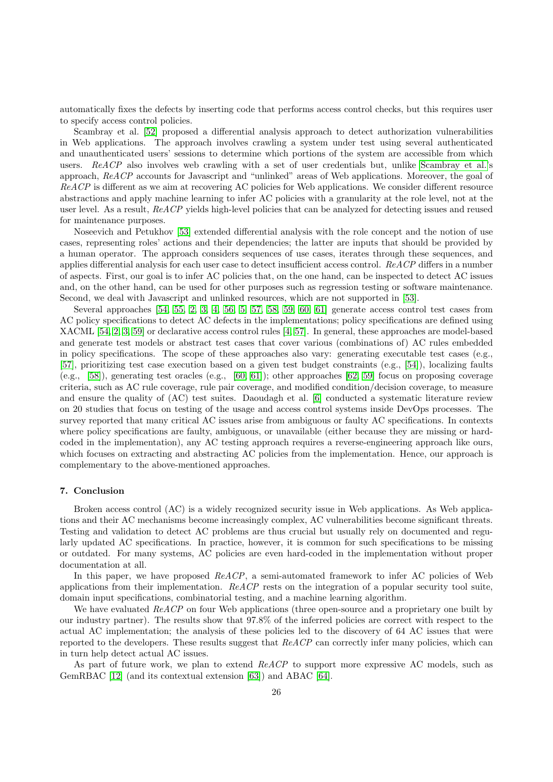automatically fixes the defects by inserting code that performs access control checks, but this requires user to specify access control policies.

Scambray et al. [\[52\]](#page-27-23) proposed a differential analysis approach to detect authorization vulnerabilities in Web applications. The approach involves crawling a system under test using several authenticated and unauthenticated users' sessions to determine which portions of the system are accessible from which users. ReACP also involves web crawling with a set of user credentials but, unlike [Scambray et al.'](#page-27-23)s approach, ReACP accounts for Javascript and "unlinked" areas of Web applications. Moreover, the goal of ReACP is different as we aim at recovering AC policies for Web applications. We consider different resource abstractions and apply machine learning to infer AC policies with a granularity at the role level, not at the user level. As a result, ReACP yields high-level policies that can be analyzed for detecting issues and reused for maintenance purposes.

Noseevich and Petukhov [\[53\]](#page-27-24) extended differential analysis with the role concept and the notion of use cases, representing roles' actions and their dependencies; the latter are inputs that should be provided by a human operator. The approach considers sequences of use cases, iterates through these sequences, and applies differential analysis for each user case to detect insufficient access control. ReACP differs in a number of aspects. First, our goal is to infer AC policies that, on the one hand, can be inspected to detect AC issues and, on the other hand, can be used for other purposes such as regression testing or software maintenance. Second, we deal with Javascript and unlinked resources, which are not supported in [\[53\]](#page-27-24).

Several approaches [\[54,](#page-27-25) [55,](#page-27-26) [2,](#page-26-1) [3,](#page-26-2) [4,](#page-26-3) [56,](#page-27-27) [5,](#page-26-4) [57,](#page-27-28) [58,](#page-28-0) [59,](#page-28-1) [60,](#page-28-2) [61\]](#page-28-3) generate access control test cases from AC policy specifications to detect AC defects in the implementations; policy specifications are defined using XACML [\[54,](#page-27-25) [2,](#page-26-1) [3,](#page-26-2) [59\]](#page-28-1) or declarative access control rules [\[4,](#page-26-3) [57\]](#page-27-28). In general, these approaches are model-based and generate test models or abstract test cases that cover various (combinations of) AC rules embedded in policy specifications. The scope of these approaches also vary: generating executable test cases (e.g., [\[57\]](#page-27-28), prioritizing test case execution based on a given test budget constraints (e.g., [\[54\]](#page-27-25)), localizing faults (e.g., [\[58\]](#page-28-0)), generating test oracles (e.g., [\[60,](#page-28-2) [61\]](#page-28-3)); other approaches [\[62,](#page-28-4) [59\]](#page-28-1) focus on proposing coverage criteria, such as AC rule coverage, rule pair coverage, and modified condition/decision coverage, to measure and ensure the quality of (AC) test suites. Daoudagh et al. [\[6\]](#page-26-5) conducted a systematic literature review on 20 studies that focus on testing of the usage and access control systems inside DevOps processes. The survey reported that many critical AC issues arise from ambiguous or faulty AC specifications. In contexts where policy specifications are faulty, ambiguous, or unavailable (either because they are missing or hardcoded in the implementation), any AC testing approach requires a reverse-engineering approach like ours, which focuses on extracting and abstracting AC policies from the implementation. Hence, our approach is complementary to the above-mentioned approaches.

# <span id="page-25-0"></span>7. Conclusion

Broken access control (AC) is a widely recognized security issue in Web applications. As Web applications and their AC mechanisms become increasingly complex, AC vulnerabilities become significant threats. Testing and validation to detect AC problems are thus crucial but usually rely on documented and regularly updated AC specifications. In practice, however, it is common for such specifications to be missing or outdated. For many systems, AC policies are even hard-coded in the implementation without proper documentation at all.

In this paper, we have proposed  $ReACP$ , a semi-automated framework to infer AC policies of Web applications from their implementation.  $ReACP$  rests on the integration of a popular security tool suite, domain input specifications, combinatorial testing, and a machine learning algorithm.

We have evaluated ReACP on four Web applications (three open-source and a proprietary one built by our industry partner). The results show that 97.8% of the inferred policies are correct with respect to the actual AC implementation; the analysis of these policies led to the discovery of 64 AC issues that were reported to the developers. These results suggest that ReACP can correctly infer many policies, which can in turn help detect actual AC issues.

As part of future work, we plan to extend ReACP to support more expressive AC models, such as GemRBAC [\[12\]](#page-26-11) (and its contextual extension [\[63\]](#page-28-5)) and ABAC [\[64\]](#page-28-6).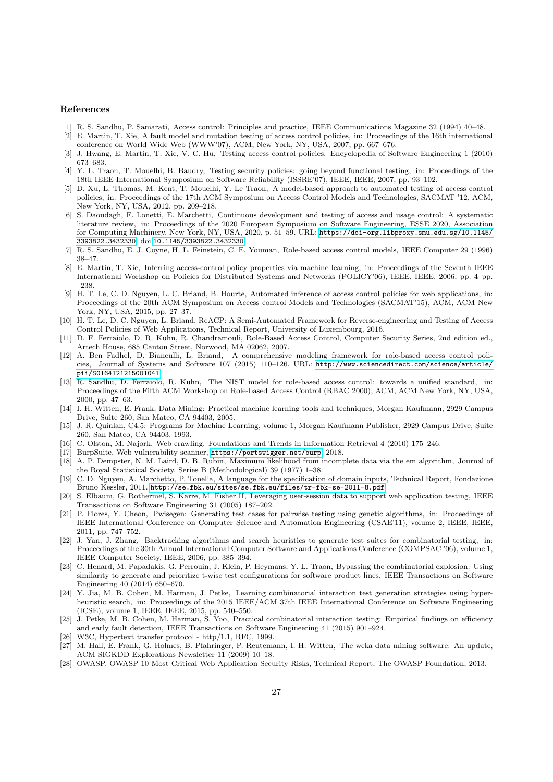#### References

- <span id="page-26-0"></span>[1] R. S. Sandhu, P. Samarati, Access control: Principles and practice, IEEE Communications Magazine 32 (1994) 40–48.
- <span id="page-26-1"></span>[2] E. Martin, T. Xie, A fault model and mutation testing of access control policies, in: Proceedings of the 16th international conference on World Wide Web (WWW'07), ACM, New York, NY, USA, 2007, pp. 667–676.
- <span id="page-26-2"></span>[3] J. Hwang, E. Martin, T. Xie, V. C. Hu, Testing access control policies, Encyclopedia of Software Engineering 1 (2010) 673–683.
- <span id="page-26-3"></span>[4] Y. L. Traon, T. Mouelhi, B. Baudry, Testing security policies: going beyond functional testing, in: Proceedings of the 18th IEEE International Symposium on Software Reliability (ISSRE'07), IEEE, IEEE, 2007, pp. 93–102.
- <span id="page-26-4"></span>[5] D. Xu, L. Thomas, M. Kent, T. Mouelhi, Y. Le Traon, A model-based approach to automated testing of access control policies, in: Proceedings of the 17th ACM Symposium on Access Control Models and Technologies, SACMAT '12, ACM, New York, NY, USA, 2012, pp. 209–218.
- <span id="page-26-5"></span>[6] S. Daoudagh, F. Lonetti, E. Marchetti, Continuous development and testing of access and usage control: A systematic literature review, in: Proceedings of the 2020 European Symposium on Software Engineering, ESSE 2020, Association for Computing Machinery, New York, NY, USA, 2020, p. 51–59. URL: [https://doi-org.libproxy.smu.edu.sg/10.1145/](https://doi-org.libproxy.smu.edu.sg/10.1145/3393822.3432330) [3393822.3432330](https://doi-org.libproxy.smu.edu.sg/10.1145/3393822.3432330). doi:[10.1145/3393822.3432330](http://dx.doi.org/10.1145/3393822.3432330).
- <span id="page-26-6"></span>[7] R. S. Sandhu, E. J. Coyne, H. L. Feinstein, C. E. Youman, Role-based access control models, IEEE Computer 29 (1996) 38–47.
- <span id="page-26-7"></span>[8] E. Martin, T. Xie, Inferring access-control policy properties via machine learning, in: Proceedings of the Seventh IEEE International Workshop on Policies for Distributed Systems and Networks (POLICY'06), IEEE, IEEE, 2006, pp. 4–pp. –238.
- <span id="page-26-8"></span>[9] H. T. Le, C. D. Nguyen, L. C. Briand, B. Hourte, Automated inference of access control policies for web applications, in: Proceedings of the 20th ACM Symposium on Access control Models and Technologies (SACMAT'15), ACM, ACM New York, NY, USA, 2015, pp. 27–37.
- <span id="page-26-9"></span>[10] H. T. Le, D. C. Nguyen, L. Briand, ReACP: A Semi-Automated Framework for Reverse-engineering and Testing of Access Control Policies of Web Applications, Technical Report, University of Luxembourg, 2016.
- <span id="page-26-10"></span>[11] D. F. Ferraiolo, D. R. Kuhn, R. Chandramouli, Role-Based Access Control, Computer Security Series, 2nd edition ed., Artech House, 685 Canton Street, Norwood, MA 02062, 2007.
- <span id="page-26-11"></span>[12] A. Ben Fadhel, D. Bianculli, L. Briand, A comprehensive modeling framework for role-based access control policies, Journal of Systems and Software 107 (2015) 110–126. URL: [http://www.sciencedirect.com/science/article/](http://www.sciencedirect.com/science/article/pii/S0164121215001041) [pii/S0164121215001041](http://www.sciencedirect.com/science/article/pii/S0164121215001041).
- <span id="page-26-12"></span>[13] R. Sandhu, D. Ferraiolo, R. Kuhn, The NIST model for role-based access control: towards a unified standard, in: Proceedings of the Fifth ACM Workshop on Role-based Access Control (RBAC 2000), ACM, ACM New York, NY, USA, 2000, pp. 47–63.
- <span id="page-26-13"></span>[14] I. H. Witten, E. Frank, Data Mining: Practical machine learning tools and techniques, Morgan Kaufmann, 2929 Campus Drive, Suite 260, San Mateo, CA 94403, 2005.
- <span id="page-26-14"></span>[15] J. R. Quinlan, C4.5: Programs for Machine Learning, volume 1, Morgan Kaufmann Publisher, 2929 Campus Drive, Suite 260, San Mateo, CA 94403, 1993.
- <span id="page-26-15"></span>[16] C. Olston, M. Najork, Web crawling, Foundations and Trends in Information Retrieval 4 (2010) 175–246.
- <span id="page-26-16"></span>[17] BurpSuite, Web vulnerability scanner, <https://portswigger.net/burp>, 2018.
- <span id="page-26-17"></span>[18] A. P. Dempster, N. M. Laird, D. B. Rubin, Maximum likelihood from incomplete data via the em algorithm, Journal of the Royal Statistical Society. Series B (Methodological) 39 (1977) 1–38.
- <span id="page-26-18"></span>[19] C. D. Nguyen, A. Marchetto, P. Tonella, A language for the specification of domain inputs, Technical Report, Fondazione Bruno Kessler, 2011. <http://se.fbk.eu/sites/se.fbk.eu/files/tr-fbk-se-2011-8.pdf>.
- <span id="page-26-19"></span>[20] S. Elbaum, G. Rothermel, S. Karre, M. Fisher II, Leveraging user-session data to support web application testing, IEEE Transactions on Software Engineering 31 (2005) 187–202.
- <span id="page-26-20"></span>[21] P. Flores, Y. Cheon, Pwisegen: Generating test cases for pairwise testing using genetic algorithms, in: Proceedings of IEEE International Conference on Computer Science and Automation Engineering (CSAE'11), volume 2, IEEE, IEEE, 2011, pp. 747–752.
- <span id="page-26-21"></span>[22] J. Yan, J. Zhang, Backtracking algorithms and search heuristics to generate test suites for combinatorial testing, in: Proceedings of the 30th Annual International Computer Software and Applications Conference (COMPSAC '06), volume 1, IEEE Computer Society, IEEE, 2006, pp. 385–394.
- <span id="page-26-22"></span>[23] C. Henard, M. Papadakis, G. Perrouin, J. Klein, P. Heymans, Y. L. Traon, Bypassing the combinatorial explosion: Using similarity to generate and prioritize t-wise test configurations for software product lines, IEEE Transactions on Software Engineering 40 (2014) 650–670.
- <span id="page-26-23"></span>[24] Y. Jia, M. B. Cohen, M. Harman, J. Petke, Learning combinatorial interaction test generation strategies using hyperheuristic search, in: Proceedings of the 2015 IEEE/ACM 37th IEEE International Conference on Software Engineering (ICSE), volume 1, IEEE, IEEE, 2015, pp. 540–550.
- <span id="page-26-24"></span>[25] J. Petke, M. B. Cohen, M. Harman, S. Yoo, Practical combinatorial interaction testing: Empirical findings on efficiency and early fault detection, IEEE Transactions on Software Engineering 41 (2015) 901–924.
- <span id="page-26-25"></span>[26] W3C, Hypertext transfer protocol - http/1.1, RFC, 1999.
- <span id="page-26-26"></span>[27] M. Hall, E. Frank, G. Holmes, B. Pfahringer, P. Reutemann, I. H. Witten, The weka data mining software: An update, ACM SIGKDD Explorations Newsletter 11 (2009) 10–18.
- <span id="page-26-27"></span>[28] OWASP, OWASP 10 Most Critical Web Application Security Risks, Technical Report, The OWASP Foundation, 2013.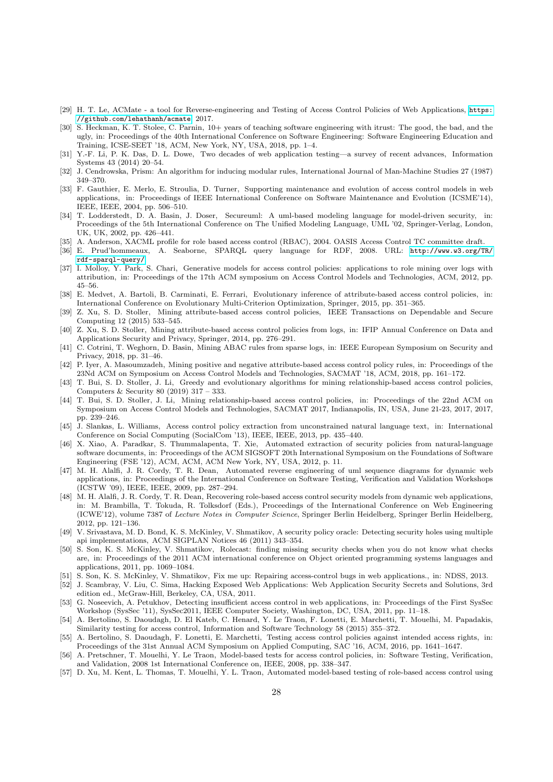- <span id="page-27-0"></span>[29] H. T. Le, ACMate - a tool for Reverse-engineering and Testing of Access Control Policies of Web Applications, [https:](https://github.com/lehathanh/acmate) [//github.com/lehathanh/acmate](https://github.com/lehathanh/acmate), 2017.
- <span id="page-27-1"></span>[30] S. Heckman, K. T. Stolee, C. Parnin, 10+ years of teaching software engineering with itrust: The good, the bad, and the ugly, in: Proceedings of the 40th International Conference on Software Engineering: Software Engineering Education and Training, ICSE-SEET '18, ACM, New York, NY, USA, 2018, pp. 1–4.
- <span id="page-27-2"></span>[31] Y.-F. Li, P. K. Das, D. L. Dowe, Two decades of web application testing—a survey of recent advances, Information Systems 43 (2014) 20–54.
- <span id="page-27-3"></span>[32] J. Cendrowska, Prism: An algorithm for inducing modular rules, International Journal of Man-Machine Studies 27 (1987) 349–370.
- <span id="page-27-4"></span>[33] F. Gauthier, E. Merlo, E. Stroulia, D. Turner, Supporting maintenance and evolution of access control models in web applications, in: Proceedings of IEEE International Conference on Software Maintenance and Evolution (ICSME'14), IEEE, IEEE, 2004, pp. 506–510.
- <span id="page-27-5"></span>[34] T. Lodderstedt, D. A. Basin, J. Doser, Secureuml: A uml-based modeling language for model-driven security, in: Proceedings of the 5th International Conference on The Unified Modeling Language, UML '02, Springer-Verlag, London, UK, UK, 2002, pp. 426–441.
- <span id="page-27-6"></span>[35] A. Anderson, XACML profile for role based access control (RBAC), 2004. OASIS Access Control TC committee draft.
- <span id="page-27-7"></span>[36] E. Prud'hommeaux, A. Seaborne, SPARQL query language for RDF, 2008. URL: [http://www.w3.org/TR/](http://www.w3.org/TR/rdf-sparql-query/) [rdf-sparql-query/](http://www.w3.org/TR/rdf-sparql-query/).
- <span id="page-27-8"></span>[37] I. Molloy, Y. Park, S. Chari, Generative models for access control policies: applications to role mining over logs with attribution, in: Proceedings of the 17th ACM symposium on Access Control Models and Technologies, ACM, 2012, pp. 45–56.
- <span id="page-27-9"></span>[38] E. Medvet, A. Bartoli, B. Carminati, E. Ferrari, Evolutionary inference of attribute-based access control policies, in: International Conference on Evolutionary Multi-Criterion Optimization, Springer, 2015, pp. 351–365.
- <span id="page-27-10"></span>[39] Z. Xu, S. D. Stoller, Mining attribute-based access control policies, IEEE Transactions on Dependable and Secure Computing 12 (2015) 533–545.
- <span id="page-27-11"></span>[40] Z. Xu, S. D. Stoller, Mining attribute-based access control policies from logs, in: IFIP Annual Conference on Data and Applications Security and Privacy, Springer, 2014, pp. 276–291.
- <span id="page-27-12"></span>[41] C. Cotrini, T. Weghorn, D. Basin, Mining ABAC rules from sparse logs, in: IEEE European Symposium on Security and Privacy, 2018, pp. 31–46.
- <span id="page-27-13"></span>[42] P. Iyer, A. Masoumzadeh, Mining positive and negative attribute-based access control policy rules, in: Proceedings of the 23Nd ACM on Symposium on Access Control Models and Technologies, SACMAT '18, ACM, 2018, pp. 161–172.
- <span id="page-27-14"></span>[43] T. Bui, S. D. Stoller, J. Li, Greedy and evolutionary algorithms for mining relationship-based access control policies, Computers & Security 80 (2019) 317 – 333.
- <span id="page-27-15"></span>[44] T. Bui, S. D. Stoller, J. Li, Mining relationship-based access control policies, in: Proceedings of the 22nd ACM on Symposium on Access Control Models and Technologies, SACMAT 2017, Indianapolis, IN, USA, June 21-23, 2017, 2017, pp. 239–246.
- <span id="page-27-16"></span>[45] J. Slankas, L. Williams, Access control policy extraction from unconstrained natural language text, in: International Conference on Social Computing (SocialCom '13), IEEE, IEEE, 2013, pp. 435–440.
- <span id="page-27-17"></span>[46] X. Xiao, A. Paradkar, S. Thummalapenta, T. Xie, Automated extraction of security policies from natural-language software documents, in: Proceedings of the ACM SIGSOFT 20th International Symposium on the Foundations of Software Engineering (FSE '12), ACM, ACM, ACM New York, NY, USA, 2012, p. 11.
- <span id="page-27-18"></span>[47] M. H. Alalfi, J. R. Cordy, T. R. Dean, Automated reverse engineering of uml sequence diagrams for dynamic web applications, in: Proceedings of the International Conference on Software Testing, Verification and Validation Workshops (ICSTW '09), IEEE, IEEE, 2009, pp. 287–294.
- <span id="page-27-19"></span>[48] M. H. Alalfi, J. R. Cordy, T. R. Dean, Recovering role-based access control security models from dynamic web applications, in: M. Brambilla, T. Tokuda, R. Tolksdorf (Eds.), Proceedings of the International Conference on Web Engineering (ICWE'12), volume 7387 of Lecture Notes in Computer Science, Springer Berlin Heidelberg, Springer Berlin Heidelberg, 2012, pp. 121–136.
- <span id="page-27-20"></span>[49] V. Srivastava, M. D. Bond, K. S. McKinley, V. Shmatikov, A security policy oracle: Detecting security holes using multiple api implementations, ACM SIGPLAN Notices 46 (2011) 343–354.
- <span id="page-27-21"></span>[50] S. Son, K. S. McKinley, V. Shmatikov, Rolecast: finding missing security checks when you do not know what checks are, in: Proceedings of the 2011 ACM international conference on Object oriented programming systems languages and applications, 2011, pp. 1069–1084.
- <span id="page-27-22"></span>[51] S. Son, K. S. McKinley, V. Shmatikov, Fix me up: Repairing access-control bugs in web applications., in: NDSS, 2013.
- <span id="page-27-23"></span>[52] J. Scambray, V. Liu, C. Sima, Hacking Exposed Web Applications: Web Application Security Secrets and Solutions, 3rd edition ed., McGraw-Hill, Berkeley, CA, USA, 2011.
- <span id="page-27-24"></span>[53] G. Noseevich, A. Petukhov, Detecting insufficient access control in web applications, in: Proceedings of the First SysSec Workshop (SysSec '11), SysSec2011, IEEE Computer Society, Washington, DC, USA, 2011, pp. 11–18.
- <span id="page-27-25"></span>[54] A. Bertolino, S. Daoudagh, D. El Kateb, C. Henard, Y. Le Traon, F. Lonetti, E. Marchetti, T. Mouelhi, M. Papadakis, Similarity testing for access control, Information and Software Technology 58 (2015) 355–372.
- <span id="page-27-26"></span>[55] A. Bertolino, S. Daoudagh, F. Lonetti, E. Marchetti, Testing access control policies against intended access rights, in: Proceedings of the 31st Annual ACM Symposium on Applied Computing, SAC '16, ACM, 2016, pp. 1641–1647.
- <span id="page-27-27"></span>[56] A. Pretschner, T. Mouelhi, Y. Le Traon, Model-based tests for access control policies, in: Software Testing, Verification, and Validation, 2008 1st International Conference on, IEEE, 2008, pp. 338–347.
- <span id="page-27-28"></span>[57] D. Xu, M. Kent, L. Thomas, T. Mouelhi, Y. L. Traon, Automated model-based testing of role-based access control using